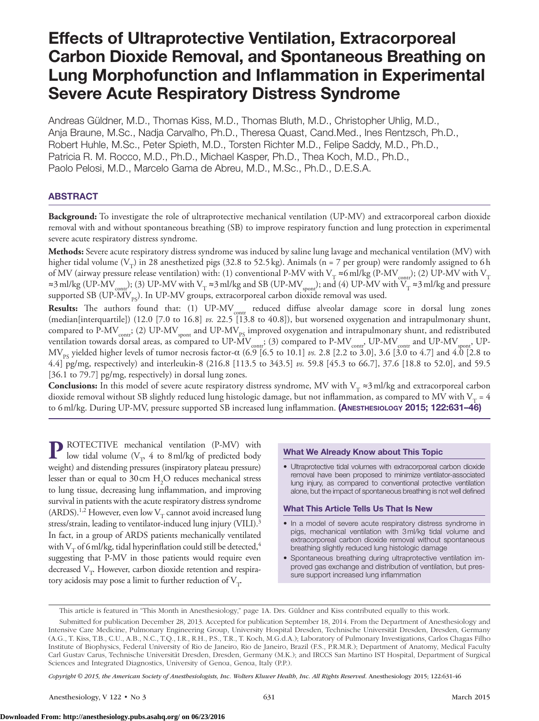# Effects of Ultraprotective Ventilation, Extracorporeal Carbon Dioxide Removal, and Spontaneous Breathing on Lung Morphofunction and Inflammation in Experimental Severe Acute Respiratory Distress Syndrome

Andreas Güldner, M.D., Thomas Kiss, M.D., Thomas Bluth, M.D., Christopher Uhlig, M.D., Anja Braune, M.Sc., Nadja Carvalho, Ph.D., Theresa Quast, Cand.Med., Ines Rentzsch, Ph.D., Robert Huhle, M.Sc., Peter Spieth, M.D., Torsten Richter M.D., Felipe Saddy, M.D., Ph.D., Patricia R. M. Rocco, M.D., Ph.D., Michael Kasper, Ph.D., Thea Koch, M.D., Ph.D., Paolo Pelosi, M.D., Marcelo Gama de Abreu, M.D., M.Sc., Ph.D., D.E.S.A.

# ABSTRACT

**Background:** To investigate the role of ultraprotective mechanical ventilation (UP-MV) and extracorporeal carbon dioxide removal with and without spontaneous breathing (SB) to improve respiratory function and lung protection in experimental severe acute respiratory distress syndrome.

**Methods:** Severe acute respiratory distress syndrome was induced by saline lung lavage and mechanical ventilation (MV) with higher tidal volume (V<sub>T</sub>) in 28 anesthetized pigs (32.8 to 52.5 kg). Animals (n = 7 per group) were randomly assigned to 6 h of MV (airway pressure release ventilation) with: (1) conventional P-MV with V<sub>T</sub> ≈6 ml/kg (P-MV<sub>contr</sub>); (2) UP-MV with V<sub>T</sub> ≈3 ml/kg (UP-MV<sub>contr</sub>); (3) UP-MV with V<sub>T</sub> ≈3 ml/kg and SB (UP-MV<sub>spont</sub>); and (4) UP-MV with  $V_T^T \approx 3$  ml/kg and pressure supported SB (UP-MV<sub>ps</sub>). In UP-MV groups, extracorporeal carbon dioxide removal was used.

Results: The authors found that: (1) UP-MV<sub>contr</sub> reduced diffuse alveolar damage score in dorsal lung zones (median[interquartile]) (12.0 [7.0 to 16.8] *vs.* 22.5 [13.8 to 40.8]), but worsened oxygenation and intrapulmonary shunt, compared to P-MV $_{\rm cont}$ ; (2) UP-MV $_{\rm spont}$  and UP-MV $_{\rm PS}$  improved oxygenation and intrapulmonary shunt, and redistributed ventilation towards dorsal areas, as compared to UP-MV $_{\rm contr}$ ; (3) compared to P-MV $_{\rm contr}$ , UP-MV $_{\rm contr}$  and UP-MV $_{\rm sport}$ , UP-MV<sub>ps</sub> yielded higher levels of tumor necrosis factor-α (6.9 [6.5 to 10.1] *vs.* 2.8 [2.2 to 3.0], 3.6 [3.0 to 4.7] and 4.0 [2.8 to 4.4] pg/mg, respectively) and interleukin-8 (216.8 [113.5 to 343.5] *vs.* 59.8 [45.3 to 66.7], 37.6 [18.8 to 52.0], and 59.5 [36.1 to 79.7] pg/mg, respectively) in dorsal lung zones.

**Conclusions:** In this model of severe acute respiratory distress syndrome, MV with V<sub>T</sub> ≈3 ml/kg and extracorporeal carbon dioxide removal without SB slightly reduced lung histologic damage, but not inflammation, as compared to MV with  $V_T = 4$ to 6ml/kg. During UP-MV, pressure supported SB increased lung inflammation. (Anesthesiology 2015; 122:631–46)

**P** ROTECTIVE mechanical ventilation (P-MV) with low tidal volume ( $V_T$ , 4 to 8 ml/kg of predicted body weight) and distending pressures (inspiratory plateau pressure) lesser than or equal to 30 cm  $H_2O$  reduces mechanical stress to lung tissue, decreasing lung inflammation, and improving survival in patients with the acute respiratory distress syndrome (ARDS).<sup>1,2</sup> However, even low  $V_T$  cannot avoid increased lung stress/strain, leading to ventilator-induced lung injury (VILI).3 In fact, in a group of ARDS patients mechanically ventilated with  $V<sub>T</sub>$  of 6 ml/kg, tidal hyperinflation could still be detected,<sup>4</sup> suggesting that P-MV in those patients would require even decreased  $V<sub>T</sub>$ . However, carbon dioxide retention and respiratory acidosis may pose a limit to further reduction of  $V_T$ .

# What We Already Know about This Topic

• Ultraprotective tidal volumes with extracorporeal carbon dioxide removal have been proposed to minimize ventilator-associated lung injury, as compared to conventional protective ventilation alone, but the impact of spontaneous breathing is not well defined

#### What This Article Tells Us That Is New

- In a model of severe acute respiratory distress syndrome in pigs, mechanical ventilation with 3ml/kg tidal volume and extracorporeal carbon dioxide removal without spontaneous breathing slightly reduced lung histologic damage
- • Spontaneous breathing during ultraprotective ventilation improved gas exchange and distribution of ventilation, but pressure support increased lung inflammation

*Copyright © 2015, the American Society of Anesthesiologists, Inc. Wolters Kluwer Health, Inc. All Rights Reserved.* Anesthesiology 2015; 122:631-46

This article is featured in "This Month in Anesthesiology," page 1A. Drs. Güldner and Kiss contributed equally to this work.

Submitted for publication December 28, 2013. Accepted for publication September 18, 2014. From the Department of Anesthesiology and Intensive Care Medicine, Pulmonary Engineering Group, University Hospital Dresden, Technische Universität Dresden, Dresden, Germany (A.G., T. Kiss, T.B., C.U., A.B., N.C., T.Q., I.R., R.H., P.S., T.R., T. Koch, M.G.d.A.); Laboratory of Pulmonary Investigations, Carlos Chagas Filho Institute of Biophysics, Federal University of Rio de Janeiro, Rio de Janeiro, Brazil (F.S., P.R.M.R.); Department of Anatomy, Medical Faculty Carl Gustav Carus, Technische Universität Dresden, Dresden, Germany (M.K.); and IRCCS San Martino IST Hospital, Department of Surgical Sciences and Integrated Diagnostics, University of Genoa, Genoa, Italy (P.P.).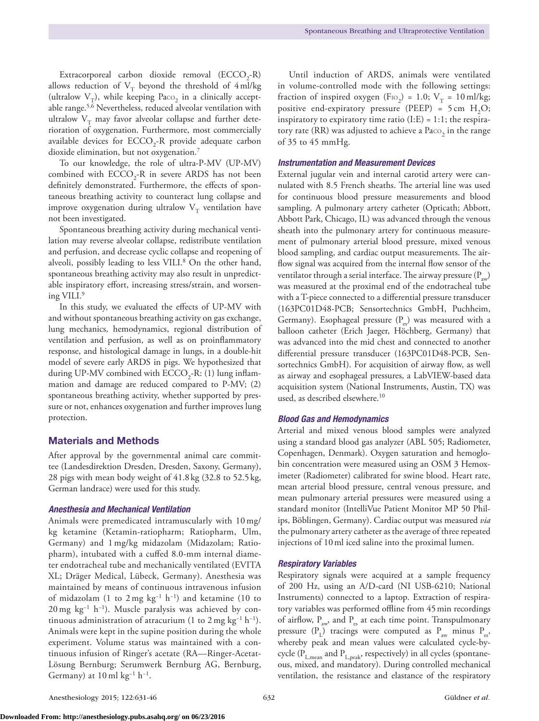Extracorporeal carbon dioxide removal  $(ECCO<sub>2</sub>-R)$ allows reduction of  $V_T$  beyond the threshold of 4ml/kg (ultralow  $V_T$ ), while keeping Paco<sub>2</sub> in a clinically acceptable range.<sup>5,6</sup> Nevertheless, reduced alveolar ventilation with ultralow  $V_T$  may favor alveolar collapse and further deterioration of oxygenation. Furthermore, most commercially available devices for  $ECCO_2$ -R provide adequate carbon dioxide elimination, but not oxygenation.<sup>7</sup>

To our knowledge, the role of ultra-P-MV (UP-MV) combined with  $\text{ECCO}_2$ -R in severe ARDS has not been definitely demonstrated. Furthermore, the effects of spontaneous breathing activity to counteract lung collapse and improve oxygenation during ultralow  $V_T$  ventilation have not been investigated.

Spontaneous breathing activity during mechanical ventilation may reverse alveolar collapse, redistribute ventilation and perfusion, and decrease cyclic collapse and reopening of alveoli, possibly leading to less VILI.<sup>8</sup> On the other hand, spontaneous breathing activity may also result in unpredictable inspiratory effort, increasing stress/strain, and worsening VILI.9

In this study, we evaluated the effects of UP-MV with and without spontaneous breathing activity on gas exchange, lung mechanics, hemodynamics, regional distribution of ventilation and perfusion, as well as on proinflammatory response, and histological damage in lungs, in a double-hit model of severe early ARDS in pigs. We hypothesized that during UP-MV combined with  $\text{ECCO}_2$ -R: (1) lung inflammation and damage are reduced compared to P-MV; (2) spontaneous breathing activity, whether supported by pressure or not, enhances oxygenation and further improves lung protection.

# Materials and Methods

After approval by the governmental animal care committee (Landesdirektion Dresden, Dresden, Saxony, Germany), 28 pigs with mean body weight of 41.8 kg (32.8 to 52.5 kg, German landrace) were used for this study.

#### *Anesthesia and Mechanical Ventilation*

Animals were premedicated intramuscularly with 10mg/ kg ketamine (Ketamin-ratiopharm; Ratiopharm, Ulm, Germany) and 1mg/kg midazolam (Midazolam; Ratiopharm), intubated with a cuffed 8.0-mm internal diameter endotracheal tube and mechanically ventilated (EVITA XL; Dräger Medical, Lübeck, Germany). Anesthesia was maintained by means of continuous intravenous infusion of midazolam (1 to 2 mg kg<sup>-1</sup> h<sup>-1</sup>) and ketamine (10 to 20 mg kg<sup>-1</sup> h<sup>-1</sup>). Muscle paralysis was achieved by continuous administration of atracurium (1 to 2 mg kg<sup>-1</sup> h<sup>-1</sup>). Animals were kept in the supine position during the whole experiment. Volume status was maintained with a continuous infusion of Ringer's acetate (RA—Ringer-Acetat-Lösung Bernburg; Serumwerk Bernburg AG, Bernburg, Germany) at  $10 \text{ ml kg}^{-1}$  h<sup>-1</sup>.

Until induction of ARDS, animals were ventilated in volume-controlled mode with the following settings: fraction of inspired oxygen (F<sub>IO<sub>2</sub>) = 1.0; V<sub>T</sub> = 10ml/kg;</sub> positive end-expiratory pressure (PEEP) =  $5 \text{ cm}$  H<sub>2</sub>O; inspiratory to expiratory time ratio  $(I:E) = 1:1$ ; the respiratory rate (RR) was adjusted to achieve a Paco<sub>2</sub> in the range of 35 to 45 mmHg.

### *Instrumentation and Measurement Devices*

External jugular vein and internal carotid artery were cannulated with 8.5 French sheaths. The arterial line was used for continuous blood pressure measurements and blood sampling. A pulmonary artery catheter (Opticath; Abbott, Abbott Park, Chicago, IL) was advanced through the venous sheath into the pulmonary artery for continuous measurement of pulmonary arterial blood pressure, mixed venous blood sampling, and cardiac output measurements. The airflow signal was acquired from the internal flow sensor of the ventilator through a serial interface. The airway pressure  $(P_{av})$ was measured at the proximal end of the endotracheal tube with a T-piece connected to a differential pressure transducer (163PC01D48-PCB; Sensortechnics GmbH, Puchheim, Germany). Esophageal pressure  $(P_{eS})$  was measured with a balloon catheter (Erich Jaeger, Höchberg, Germany) that was advanced into the mid chest and connected to another differential pressure transducer (163PC01D48-PCB, Sensortechnics GmbH). For acquisition of airway flow, as well as airway and esophageal pressures, a LabVIEW-based data acquisition system (National Instruments, Austin, TX) was used, as described elsewhere.<sup>10</sup>

#### *Blood Gas and Hemodynamics*

Arterial and mixed venous blood samples were analyzed using a standard blood gas analyzer (ABL 505; Radiometer, Copenhagen, Denmark). Oxygen saturation and hemoglobin concentration were measured using an OSM 3 Hemoximeter (Radiometer) calibrated for swine blood. Heart rate, mean arterial blood pressure, central venous pressure, and mean pulmonary arterial pressures were measured using a standard monitor (IntelliVue Patient Monitor MP 50 Philips, Böblingen, Germany). Cardiac output was measured *via* the pulmonary artery catheter as the average of three repeated injections of 10ml iced saline into the proximal lumen.

#### *Respiratory Variables*

Respiratory signals were acquired at a sample frequency of 200 Hz, using an A/D-card (NI USB-6210; National Instruments) connected to a laptop. Extraction of respiratory variables was performed offline from 45min recordings of airflow,  $P_{av}$ , and  $P_{es}$  at each time point. Transpulmonary pressure  $(P_1)$  tracings were computed as  $P_{av}$  minus  $P_{es}$ , whereby peak and mean values were calculated cycle-bycycle ( $P_{L,mean}$  and  $P_{L,peak}$ , respectively) in all cycles (spontaneous, mixed, and mandatory). During controlled mechanical ventilation, the resistance and elastance of the respiratory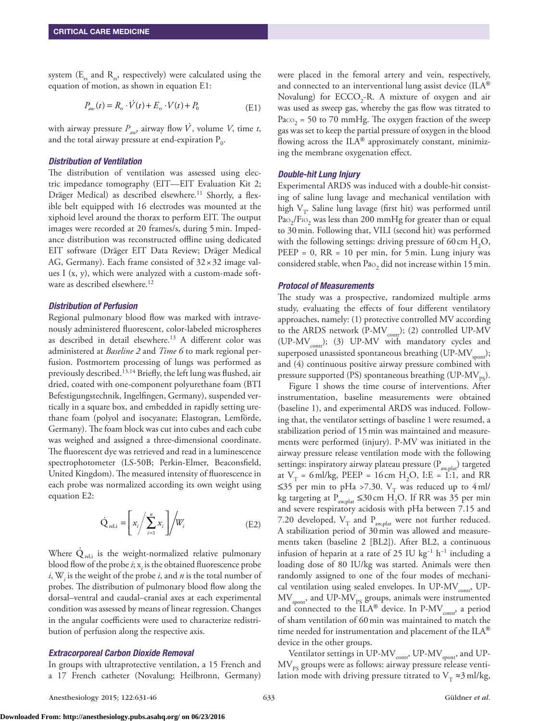system  $(E_r$  and  $R_r$ , respectively) were calculated using the equation of motion, as shown in equation E1:

$$
P_{aw}(t) = R_{rs} \cdot \dot{V}(t) + E_{rs} \cdot V(t) + P_0
$$
 (E1)

with airway pressure  $P_{aw}$ , airway flow  $\dot{V}$ , volume  $V$ , time *t*, and the total airway pressure at end-expiration  $\rm P_{0}.$ 

# *Distribution of Ventilation*

The distribution of ventilation was assessed using electric impedance tomography (EIT—EIT Evaluation Kit 2; Dräger Medical) as described elsewhere.<sup>11</sup> Shortly, a flexible belt equipped with 16 electrodes was mounted at the xiphoid level around the thorax to perform EIT. The output images were recorded at 20 frames/s, during 5min. Impedance distribution was reconstructed offline using dedicated EIT software (Dräger EIT Data Review; Dräger Medical AG, Germany). Each frame consisted of  $32 \times 32$  image values I  $(x, y)$ , which were analyzed with a custom-made software as described elsewhere.<sup>12</sup>

# *Distribution of Perfusion*

Regional pulmonary blood flow was marked with intravenously administered fluorescent, color-labeled microspheres as described in detail elsewhere.<sup>13</sup> A different color was administered at *Baseline 2* and *Time 6* to mark regional perfusion. Postmortem processing of lungs was performed as previously described.<sup>13,14</sup> Briefly, the left lung was flushed, air dried, coated with one-component polyurethane foam (BTI Befestigungstechnik, Ingelfingen, Germany), suspended vertically in a square box, and embedded in rapidly setting urethane foam (polyol and isocyanate; Elastogran, Lemförde, Germany). The foam block was cut into cubes and each cube was weighed and assigned a three-dimensional coordinate. The fluorescent dye was retrieved and read in a luminescence spectrophotometer (LS-50B; Perkin-Elmer, Beaconsfield, United Kingdom). The measured intensity of fluorescence in each probe was normalized according its own weight using equation E2:

$$
\dot{Q}_{rel,i} = \left[x_i / \sum_{i=1}^{n} x_i\right] / W_i
$$
\n(E2)

Where  $\dot{Q}_{\textrm{rel,i}}$  is the weight-normalized relative pulmonary blood flow of the probe *i*; x*<sup>i</sup>* is the obtained fluorescence probe *i*,  $W_i$  is the weight of the probe *i*, and *n* is the total number of probes. The distribution of pulmonary blood flow along the dorsal–ventral and caudal–cranial axes at each experimental condition was assessed by means of linear regression. Changes in the angular coefficients were used to characterize redistribution of perfusion along the respective axis.

#### *Extracorporeal Carbon Dioxide Removal*

In groups with ultraprotective ventilation, a 15 French and a 17 French catheter (Novalung; Heilbronn, Germany) were placed in the femoral artery and vein, respectively, and connected to an interventional lung assist device (ILA® Novalung) for  $ECCO_2$ -R. A mixture of oxygen and air was used as sweep gas, whereby the gas flow was titrated to Paco<sub>2</sub> = 50 to 70 mmHg. The oxygen fraction of the sweep gas was set to keep the partial pressure of oxygen in the blood flowing across the  $\text{ILA}^{\circledast}$  approximately constant, minimizing the membrane oxygenation effect.

#### *Double-hit Lung Injury*

Experimental ARDS was induced with a double-hit consisting of saline lung lavage and mechanical ventilation with high  $V_T$ . Saline lung lavage (first hit) was performed until  $\mathrm{Pa}\mathrm{o}_2/\mathrm{F}\mathrm{io}_2$  was less than 200 mmHg for greater than or equal to 30min. Following that, VILI (second hit) was performed with the following settings: driving pressure of 60 cm  $H_2O$ ,  $PEEP = 0$ ,  $RR = 10$  per min, for 5 min. Lung injury was considered stable, when  $Pao<sub>2</sub>$  did not increase within 15 min.

#### *Protocol of Measurements*

The study was a prospective, randomized multiple arms study, evaluating the effects of four different ventilatory approaches, namely: (1) protective controlled MV according to the ARDS network (P-MV<sub>contr</sub>); (2) controlled UP-MV (UP-MV<sub>contr</sub>); (3) UP-MV with mandatory cycles and superposed unassisted spontaneous breathing (UP-MV $_{\text{spont}}$ ); and (4) continuous positive airway pressure combined with pressure supported (PS) spontaneous breathing (UP- $MV_{pc}$ ).

Figure 1 shows the time course of interventions. After instrumentation, baseline measurements were obtained (baseline 1), and experimental ARDS was induced. Following that, the ventilator settings of baseline 1 were resumed, a stabilization period of 15min was maintained and measurements were performed (injury). P-MV was initiated in the airway pressure release ventilation mode with the following settings: inspiratory airway plateau pressure (P<sub>aw,plat</sub>) targeted at  $V_T$  = 6 ml/kg, PEEP = 16 cm H<sub>2</sub>O, I:E = 1:1, and RR ≤35 per min to pHa >7.30. V<sub>T</sub> was reduced up to 4ml/ kg targeting at  $P_{\text{aw,plat}} \leq 30 \, \text{cm} \, \text{H}_2\text{O}$ . If RR was 35 per min and severe respiratory acidosis with pHa between 7.15 and 7.20 developed,  $V_T$  and  $P_{aw,plat}$  were not further reduced. A stabilization period of 30min was allowed and measurements taken (baseline 2 [BL2]). After BL2, a continuous infusion of heparin at a rate of 25 IU kg−1 h−1 including a loading dose of 80 IU/kg was started. Animals were then randomly assigned to one of the four modes of mechanical ventilation using sealed envelopes. In UP-MV<sub>contr</sub>, UP- $\rm MV_{\rm {spont}}$ , and UP-MV $_{\rm {PS}}$  groups, animals were instrumented and connected to the  $ILA^{\circledast}$  device. In P-MV<sub>contr</sub>, a period of sham ventilation of 60min was maintained to match the time needed for instrumentation and placement of the ILA® device in the other groups.

Ventilator settings in UP-MV<sub>contr</sub>, UP-MV<sub>spont</sub>, and UP- $\rm MV_{PS}$  groups were as follows: airway pressure release ventilation mode with driving pressure titrated to  $V<sub>T</sub> \approx 3$  ml/kg,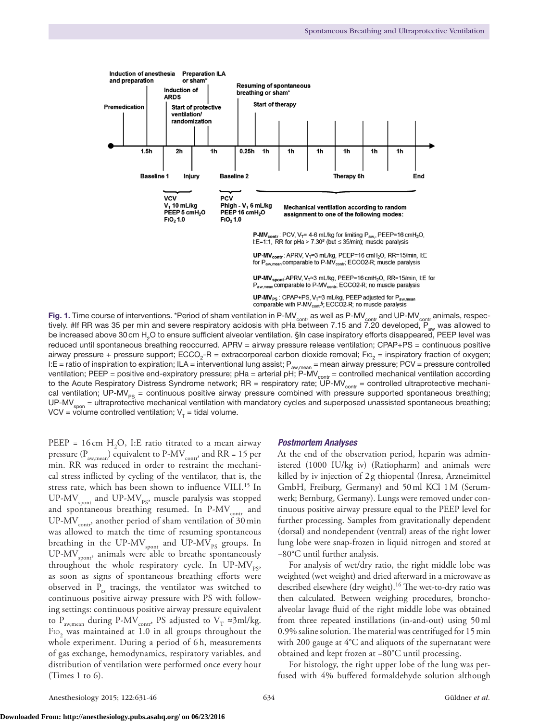

Fig. 1. Time course of interventions. \*Period of sham ventilation in P-MV<sub>contr</sub> as well as P-MV<sub>contr</sub> and UP-MV<sub>contr</sub> animals, respec-<br>tively. #If RR was 35 per min and severe respiratory acidosis with pHa between 7.15 tively. #If RR was 35 per min and severe respiratory acidosis with pHa between 7.15 and  $7.20$  developed,  $\overline{P}$ be increased above 30 cm H<sub>2</sub>O to ensure sufficient alveolar ventilation. §In case inspiratory efforts disappeared, PEEP level was reduced until spontaneous breathing reoccurred. APRV = airway pressure release ventilation; CPAP+PS = continuous positive airway pressure + pressure support; ECCO<sub>2</sub>-R = extracorporeal carbon dioxide removal; Fio<sub>2</sub> = inspiratory fraction of oxygen; I:E = ratio of inspiration to expiration; ILA = interventional lung assist; P<sub>awmean</sub> = mean airway pressure; PCV = pressure controlled ventilation; PEEP = positive end-expiratory pressure; pHa = arterial pH;  $\overline{P\text{-}MV}$ <sub>contr</sub> = controlled mechanical ventilation according to the Acute Respiratory Distress Syndrome network; RR = respiratory rate; UP-MV<sub>contr</sub> = controlled ultraprotective mechanical ventilation; UP-MV<sub>PS</sub> = continuous positive airway pressure combined with pressure supported spontaneous breathing;  $UP\text{-}MV_{\text{soon}}$  = ultraprotective mechanical ventilation with mandatory cycles and superposed unassisted spontaneous breathing; VCV = volume controlled ventilation;  $V<sub>T</sub>$  = tidal volume.

PEEP =  $16 \text{ cm } H_2O$ , I:E ratio titrated to a mean airway pressure ( $P_{\text{aw,mean}}$ ) equivalent to P-MV<sub>contr</sub>, and RR = 15 per min. RR was reduced in order to restraint the mechanical stress inflicted by cycling of the ventilator, that is, the stress rate, which has been shown to influence VILI.<sup>15</sup> In UP-MV $_{\rm spont}$  and UP-MV $_{\rm ps}$ , muscle paralysis was stopped and spontaneous breathing resumed. In  $P-MV_{\text{contr}}$  and UP-MV $_{\text{contr}}$ , another period of sham ventilation of 30 min was allowed to match the time of resuming spontaneous breathing in the  $\text{UP-MV}_{\text{spont}}$  and  $\text{UP-MV}_{\text{PS}}$  groups. In UP-MV<sub>spont</sub>, animals were able to breathe spontaneously throughout the whole respiratory cycle. In UP-MV<sub>ps</sub>, as soon as signs of spontaneous breathing efforts were observed in  $P_{es}$  tracings, the ventilator was switched to continuous positive airway pressure with PS with following settings: continuous positive airway pressure equivalent to P<sub>aw,mean</sub> during P-MV<sub>contr</sub>, PS adjusted to V<sub>T</sub>  $\approx$ 3ml/kg.  $\mathrm{F}$ 10<sub>2</sub> was maintained at 1.0 in all groups throughout the whole experiment. During a period of 6h, measurements of gas exchange, hemodynamics, respiratory variables, and distribution of ventilation were performed once every hour (Times 1 to 6).

#### *Postmortem Analyses*

At the end of the observation period, heparin was administered (1000 IU/kg iv) (Ratiopharm) and animals were killed by iv injection of 2g thiopental (Inresa, Arzneimittel GmbH, Freiburg, Germany) and 50ml KCl 1M (Serumwerk; Bernburg, Germany). Lungs were removed under continuous positive airway pressure equal to the PEEP level for further processing. Samples from gravitationally dependent (dorsal) and nondependent (ventral) areas of the right lower lung lobe were snap-frozen in liquid nitrogen and stored at −80°C until further analysis.

For analysis of wet/dry ratio, the right middle lobe was weighted (wet weight) and dried afterward in a microwave as described elsewhere (dry weight).<sup>16</sup> The wet-to-dry ratio was then calculated. Between weighing procedures, bronchoalveolar lavage fluid of the right middle lobe was obtained from three repeated instillations (in-and-out) using 50ml 0.9% saline solution. The material was centrifuged for 15min with 200 gauge at 4°C and aliquots of the supernatant were obtained and kept frozen at −80°C until processing.

For histology, the right upper lobe of the lung was perfused with 4% buffered formaldehyde solution although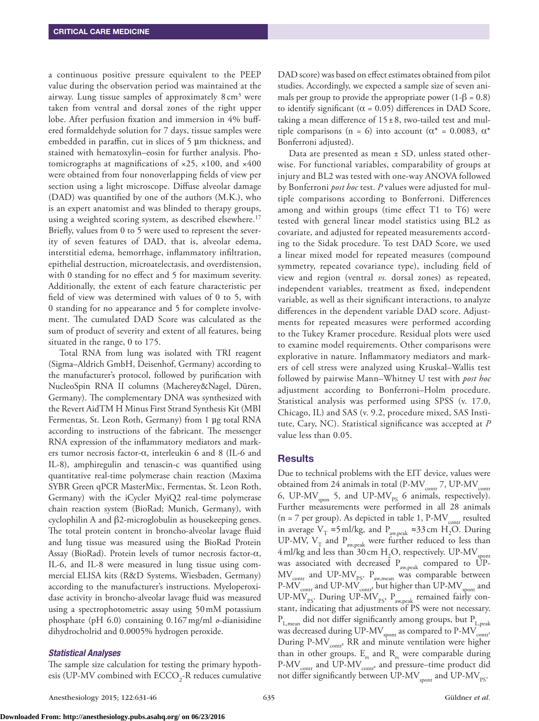a continuous positive pressure equivalent to the PEEP value during the observation period was maintained at the airway. Lung tissue samples of approximately 8 cm<sup>3</sup> were taken from ventral and dorsal zones of the right upper lobe. After perfusion fixation and immersion in 4% buffered formaldehyde solution for 7 days, tissue samples were embedded in paraffin, cut in slices of 5 µm thickness, and stained with hematoxylin–eosin for further analysis. Photomicrographs at magnifications of  $\times$ 25,  $\times$ 100, and  $\times$ 400 were obtained from four nonoverlapping fields of view per section using a light microscope. Diffuse alveolar damage (DAD) was quantified by one of the authors (M.K.), who is an expert anatomist and was blinded to therapy groups, using a weighted scoring system, as described elsewhere.<sup>17</sup> Briefly, values from 0 to 5 were used to represent the severity of seven features of DAD, that is, alveolar edema, interstitial edema, hemorrhage, inflammatory infiltration, epithelial destruction, microatelectasis, and overdistension, with 0 standing for no effect and 5 for maximum severity. Additionally, the extent of each feature characteristic per field of view was determined with values of 0 to 5, with 0 standing for no appearance and 5 for complete involvement. The cumulated DAD Score was calculated as the sum of product of severity and extent of all features, being situated in the range, 0 to 175.

Total RNA from lung was isolated with TRI reagent (Sigma–Aldrich GmbH, Deisenhof, Germany) according to the manufacturer's protocol, followed by purification with NucleoSpin RNA II columns (Macherey&Nagel, Düren, Germany). The complementary DNA was synthesized with the Revert AidTM H Minus First Strand Synthesis Kit (MBI Fermentas, St. Leon Roth, Germany) from 1 µg total RNA according to instructions of the fabricant. The messenger RNA expression of the inflammatory mediators and markers tumor necrosis factor-α, interleukin 6 and 8 (IL-6 and IL-8), amphiregulin and tenascin-c was quantified using quantitative real-time polymerase chain reaction (Maxima SYBR Green qPCR MasterMix:, Fermentas, St. Leon Roth, Germany) with the iCycler MyiQ2 real-time polymerase chain reaction system (BioRad; Munich, Germany), with cyclophilin A and β2-microglobulin as housekeeping genes. The total protein content in broncho-alveolar lavage fluid and lung tissue was measured using the BioRad Protein Assay (BioRad). Protein levels of tumor necrosis factor-α, IL-6, and IL-8 were measured in lung tissue using commercial ELISA kits (R&D Systems, Wiesbaden, Germany) according to the manufacturer's instructions. Myeloperoxidase activity in broncho-alveolar lavage fluid was measured using a spectrophotometric assay using 50mM potassium phosphate (pH 6.0) containing 0.167mg/ml *o*-dianisidine dihydrocholrid and 0.0005% hydrogen peroxide.

#### *Statistical Analyses*

The sample size calculation for testing the primary hypothesis (UP-MV combined with  $\text{ECCO}_{2}$ -R reduces cumulative DAD score) was based on effect estimates obtained from pilot studies. Accordingly, we expected a sample size of seven animals per group to provide the appropriate power  $(1-\beta = 0.8)$ to identify significant ( $\alpha$  = 0.05) differences in DAD Score, taking a mean difference of 15±8, two-tailed test and multiple comparisons (n = 6) into account ( $\alpha^*$  = 0.0083,  $\alpha^*$ ) Bonferroni adjusted).

Data are presented as mean  $\pm$  SD, unless stated otherwise. For functional variables, comparability of groups at injury and BL2 was tested with one-way ANOVA followed by Bonferroni *post hoc* test. *P* values were adjusted for multiple comparisons according to Bonferroni. Differences among and within groups (time effect T1 to T6) were tested with general linear model statistics using BL2 as covariate, and adjusted for repeated measurements according to the Sidak procedure. To test DAD Score, we used a linear mixed model for repeated measures (compound symmetry, repeated covariance type), including field of view and region (ventral *vs.* dorsal zones) as repeated, independent variables, treatment as fixed, independent variable, as well as their significant interactions, to analyze differences in the dependent variable DAD score. Adjustments for repeated measures were performed according to the Tukey Kramer procedure. Residual plots were used to examine model requirements. Other comparisons were explorative in nature. Inflammatory mediators and markers of cell stress were analyzed using Kruskal–Wallis test followed by pairwise Mann–Whitney U test with *post hoc* adjustment according to Bonferroni–Holm procedure. Statistical analysis was performed using SPSS (v. 17.0, Chicago, IL) and SAS (v. 9.2, procedure mixed, SAS Institute, Cary, NC). Statistical significance was accepted at *P* value less than 0.05.

#### **Results**

Due to technical problems with the EIT device, values were obtained from 24 animals in total (P-MV<sub>contr</sub> 7, UP-MV<sub>contr</sub> 6, UP-MV $_{\text{spon}}$  5, and UP-MV $_{\text{PS}}$  6 animals, respectively). Further measurements were performed in all 28 animals ( $n = 7$  per group). As depicted in table 1, P-MV<sub>contr</sub> resulted in average  $V_T \approx 5$  ml/kg, and  $P_{\text{aw,peak}} \approx 33$  cm  $H_2O$ . During UP-MV,  $V_T$  and  $P_{\text{aw,peak}}$  were further reduced to less than  $4$  ml/kg and less than 30 cm  $\rm H_2O$ , respectively. UP-MV  $_{\rm spont}$ was associated with decreased  $P_{\text{aw,peak}}$  compared to UP- $\text{MV}_{\text{contr}}$  and  $\text{UP-MV}_{\text{PS}}$ .  $\text{P}_{\text{aw,mean}}$  was comparable between P-MV $_{\rm{contr}}$  and UP-MV $_{\rm{contr}}$ , but higher than UP-MV $_{\rm{spont}}$  and UP-MV<sub>PS</sub>. During UP-MV<sub>PS</sub>,  $P_{\text{aw,peak}}$  remained fairly constant, indicating that adjustments of PS were not necessary.  ${\rm P}_{\rm L,mean}$  did not differ significantly among groups, but  ${\rm P}_{\rm L,peak}$ was decreased during UP-MV $_{\rm{spont}}$  as compared to P-MV  $_{\rm{contr}}$ . During P-MV<sub>contr</sub>, RR and minute ventilation were higher than in other groups.  $E_{rs}$  and  $R_{rs}$  were comparable during P-MV<sub>contr</sub> and UP-MV<sub>contr</sub>, and pressure–time product did not differ significantly between UP-MV $_{\rm sport}$  and UP-MV $_{\rm ps}$ .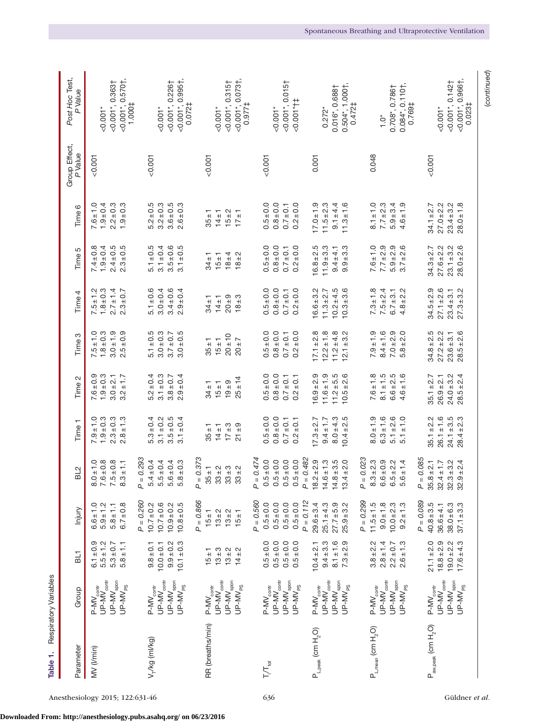| Table 1.                          | Respiratory Variables                                                                                   |                                                                                                                                                                                                                                                                                                                                             |                                                                                 |                                                                                                                                 |                                                                      |                                                                  |                                                                      |                                                                  |                                                                  |                                                                   |                          |                                                                                            |
|-----------------------------------|---------------------------------------------------------------------------------------------------------|---------------------------------------------------------------------------------------------------------------------------------------------------------------------------------------------------------------------------------------------------------------------------------------------------------------------------------------------|---------------------------------------------------------------------------------|---------------------------------------------------------------------------------------------------------------------------------|----------------------------------------------------------------------|------------------------------------------------------------------|----------------------------------------------------------------------|------------------------------------------------------------------|------------------------------------------------------------------|-------------------------------------------------------------------|--------------------------|--------------------------------------------------------------------------------------------|
| Parameter                         | Group                                                                                                   | $\overline{a}$                                                                                                                                                                                                                                                                                                                              | Injury                                                                          | BL2                                                                                                                             | Time <sub>1</sub>                                                    | Time 2                                                           | Time 3                                                               | Time 4                                                           | Time 5                                                           | Time 6                                                            | Group Effect,<br>P Value | Post Hoc Test,<br>P Value                                                                  |
| MV (Vmin)                         | P-MV <sub>contr</sub><br>UP-MV <sub>contr</sub><br>UP-MV <sub>spon</sub><br>$UP-MV_{PS}$                | $6.1 \pm 0.9$<br>$5.5 \pm 1.2$<br>$5.3 \pm 0.7$<br>$5.8 \pm 1.1$                                                                                                                                                                                                                                                                            | $6.7 \pm 0.8$<br>$6.6 \pm 1.0$<br>$5.9 \pm 1.2$<br>$5.8 \pm 1.1$                | $0.1 \pm 0.$<br>$.6 \pm 0.8$<br>$.5 \pm 0.8$<br>$8.3 \pm 1.1$<br>$\sim$ $\sim$ $\sim$                                           | $7.9 \pm 1.0$<br>$1.9 \pm 0.3$<br>$2.3 \pm 0.3$<br>$2.8 \pm 1.3$     | $7.6 \pm 0.9$<br>$1.9 + 0.3$<br>$3.0 + 2.1$<br>$3.2 \pm 1.7$     | $3.0 + 1.9$<br>$2.5 \pm 0.9$<br>$7.5 \pm 1.0$<br>$1.8 + 0.3$         | $2.7 \pm 1.4$<br>$7.5 \pm 1.2$<br>1.8 ± 0.3<br>$2.3 \pm 0.7$     | $7.4 \pm 0.8$<br>$1.9 \pm 0.4$<br>$2.4 \pm 0.5$<br>$2.3 \pm 0.5$ | $1.9 \pm 0.4$<br>$2.2 \pm 0.3$<br>$1.9 + 0.3$<br>$7.6 \pm 1.0$    | 0.001                    | $\{0.001^*, 0.570^+\}$<br>1.000‡<br>$<$ 0.001*, 0.363†<br>$-0.001*$                        |
| V <sub>T</sub> /kg (ml/kg)        | $UP$ -M $V_{\rm contr}$<br>$UP$ - $MV_{\text{spon}}$<br>$P-MV_{\rm contr}$<br>$UP-MV_{PS}$              | $9.9 + 0.2$<br>$10.1 \pm 0.3$<br>$9.8 \pm 0.1$<br>$10.0 + 0.1$                                                                                                                                                                                                                                                                              | $P = 0.260$<br>$10.7 \pm 0.2$<br>$10.7 \pm 0.6$<br>$10.8 + 0.5$<br>$10.9 + 0.2$ | $= 0.293$<br>$5.4 \pm 0.4$<br>$.5 \pm 0.4$<br>$-6 \pm 0.4$<br>$5.8 \pm 0.3$<br>Ä<br>5<br>5                                      | $5.3 \pm 0.4$<br>$3.1 \pm 0.2$<br>$3.5 \pm 0.5$<br>$3.1 \pm 0.4$     | $5.2 \pm 0.4$<br>$3.1 \pm 0.3$<br>$2.9 \pm 0.4$<br>$3.8 + 0.7$   | $5.1 \pm 0.5$<br>$3.0 + 0.3$<br>$3.0 + 0.5$<br>$3.7 \pm 0.7$         | $5.1 \pm 0.6$<br>$3.0 + 0.4$<br>$3.4 \pm 0.6$<br>$2.9 \pm 0.4$   | $5.1 \pm 0.5$<br>$3.1 \pm 0.4$<br>$3.5 \pm 0.6$<br>$3.1 \pm 0.5$ | $3.2 \pm 0.3$<br>$5.2 \pm 0.5$<br>$3.6 + 0.5$<br>$2.6 \pm 0.3$    | 0.001                    | $<$ 0.001 $^*$ , 0.995†,<br>$<$ 0.001*, 0.226†<br>0.072‡<br>$0.001*$                       |
| RR (breaths/min)                  | $UP$ -M $V_{\rm contr}$<br>$UP$ - $MV_{\text{spon}}$<br>$UP$ -MV <sub>PS</sub><br>$P-MV_{\text{contr}}$ | $\begin{array}{cccc} + & 1 & 0 & 0 & 0 & 0 \\ + & 1 & 0 & 0 & 0 & 0 \\ 0 & 0 & 0 & 0 & 0 & 0 \\ + & 0 & 0 & 0 & 0 & 0 \\ 0 & 0 & 0 & 0 & 0 & 0 \\ + & 0 & 0 & 0 & 0 & 0 \\ + & 0 & 0 & 0 & 0 & 0 \\ + & 0 & 0 & 0 & 0 & 0 \\ + & 0 & 0 & 0 & 0 & 0 \\ + & 0 & 0 & 0 & 0 & 0 \\ + & 0 & 0 & 0 & 0 & 0 \\ + & 0 & 0 & 0 & 0 & 0 \\ + & 0 & 0$ | $P = 0.866$<br>$15 \pm 1$<br>$13 + 2$<br>$13 + 2$<br>$15 + 1$                   | $= 0.373$<br>$33 \pm 3$<br>$33 + 2$<br>$35 \pm 1$<br>$33 + 2$<br>$\mathbf{r}$                                                   | $17 \pm 3$<br>$21 + 9$<br>$35 \pm 1$<br>$14 \pm 1$                   | $25 + 14$<br>$19 + 9$<br>$34 \pm 1$<br>$15 + 1$                  | 20 ± 10<br>$20 \pm 7$<br>$35 \pm 1$<br>$15 + 1$                      | $20 \pm 9$<br>$18 + 3$<br>$34 \pm 1$<br>$14 \pm 1$               | $18 + 4$<br>$18 + 2$<br>$34 \pm 1$<br>$15 \pm 1$                 | $15 + 2$<br>$35 \pm 1$<br>$14 \pm 1$<br>$17 \pm 1$                | $-0.001$                 | $<$ 0.001*, 0.0731,<br>$<$ 0.001*, 0.315†<br>0.977‡<br>$0.001*$                            |
| $T/T_{tot}$                       | $UP$ -M $V_{\rm contr}$<br>UP-MV <sub>spon</sub><br>$UP$ -M $V_{PS}$<br>$P-MV_{\rm contr}$              | $0.5 \pm 0.0$<br>$0.5 \pm 0.0$<br>$0.5 + 0.0$<br>$0.5 \pm 0.0$                                                                                                                                                                                                                                                                              | $P = 0.560$<br>$0.5 \pm 0.0$<br>$0.5 \pm 0.0$<br>$0.5 + 0.0$<br>$0.5 \pm 0.0$   | $= 0.474$<br>$.5 \pm 0.0$<br>$-5.045$<br>$.5 \pm 0.0$<br>$0.5 \pm 0.0$<br>Ä<br>$\circ$<br>$\circ$<br>$\circ$                    | $0.8 + 0.0$<br>$0.5 + 0.0$<br>$0.7 \pm 0.1$<br>$0.2 \pm 0.1$         | $0.5 + 0.0$<br>$0.8 + 0.0$<br>$0.7 \pm 0.1$<br>$0.2 \pm 0.1$     | $0.5 + 0.0$<br>$0.8 + 0.0$<br>$0.2 + 0.0$<br>$0.7 \pm 0.1$           | $0.5 \pm 0.0$<br>$0.8 + 0.0$<br>$0.2 \pm 0.0$<br>$0.7 \pm 0.1$   | $0.8 + 0.0$<br>$0.5 \pm 0.0$<br>$0.2 \pm 0.0$<br>$0.7 \pm 0.1$   | $0.8 + 0.0$<br>$0.2 \pm 0.0$<br>$0.5 \pm 0.0$<br>$0.7 \pm 0.1$    | 0.001                    | $<$ 0.001*, 0.015†<br>$-0.001$ *†‡<br>$0.001*$                                             |
| $P_{L,peak}$ (cm $H_2O$ )         | $UP$ -M $V_{\rm contr}$<br>$UP$ - $MV_{\text{spon}}$<br>$UP$ -M $V_{PS}$<br>$P-MV_{\rm contr}$          | $8.1 \pm 1.6$<br>$7.3 + 2.9$<br>$9.4 + 3.3$<br>$10.4 + 2.1$                                                                                                                                                                                                                                                                                 | $P = 0.112$<br>$29.6 + 3.4$<br>$25.1 \pm 4.3$<br>$27.7 + 5.9$<br>$25.9 + 3.2$   | $= 0.482$<br>$2 + 2.9$<br>$13.4 \pm 2.0$<br>$.6 + 1.3$<br>$14.8 + 3.5$<br>$\overline{a}$<br>$\frac{\infty}{2}$<br>$\frac{4}{1}$ | $8.0 \pm 4.3$<br>10.4±2.5<br>$17.3 + 2.7$<br>$9.4 \pm 1.7$           | $11.6 \pm 1.9$<br>$11.2 + 5.5$<br>$16.9 + 2.9$<br>$10.5 + 2.6$   | $17.1 \pm 2.8$<br>$12.2 \pm 1.8$<br>$11.2 \pm 4.8$<br>$12.1 \pm 3.2$ | $16.6 + 3.2$<br>$10.2 \pm 4.5$<br>$10.3 + 3.6$<br>$11.3 \pm 2.7$ | $16.8 + 2.5$<br>$11.9 + 3.3$<br>$9.9 + 3.3$<br>$9.4 + 4.1$       | $17.0 \pm 1.9$<br>$11.5 \pm 2.3$<br>$9.1 + 4.4$<br>$11.3 \pm 1.6$ | 0.001                    | $0.504^*$ , 1.000†,<br>0.472‡<br>0.016*, 0.688†<br>$0.272*$                                |
| $P_{L,mean}$ (cm $H_2O$ )         | $UP$ -M $V_{\rm contr}$<br>UP-MV <sub>spon</sub><br>$P-MV_{\rm contr}$<br>$UP-MV_{PS}$                  | $2.8 \pm 1.4$<br>$3.8 + 2.2$<br>$2.2 \pm 0.7$<br>$2.6 \pm 1.3$                                                                                                                                                                                                                                                                              | $P = 0.299$<br>$11.5 \pm 1.5$<br>$9.0 \pm 1.8$<br>$10.0 + 2.3$<br>$9.2 \pm 1.3$ | $= 0.023$<br>$.3 + 2.3$<br>$6.6 \pm 0.9$<br>$.5 + 2.2$<br>$5.6 \pm 1.4$<br>Ä<br>$\infty$<br>G                                   | $8.0 \pm 1.9$<br>$6.3 \pm 1.6$<br>$5.1 + 2.6$<br>$5.1 \pm 1.0$       | $8.1 \pm 1.5$<br>$7.6 \pm 1.8$<br>$6.6 \pm 2.5$<br>$4.6 \pm 1.6$ | $7.0 + 2.9$<br>$7.9 \pm 1.9$<br>$8.4 \pm 1.6$<br>$5.8 + 2.0$         | $7.3 \pm 1.8$<br>$7.5 \pm 2.4$<br>$4.8 \pm 2.2$<br>$6.7 \pm 3.1$ | $7.6 \pm 1.0$<br>$7.7 \pm 2.9$<br>$5.9 \pm 2.9$<br>$3.7 \pm 2.6$ | $8.1 \pm 1.0$<br>$7.7 \pm 2.3$<br>$5.9 + 3.4$<br>$4.6 \pm 1.9$    | 0.048                    | $0.084$ <sup>*</sup> , $0.110$ <sup>+</sup> ,<br>0.708*, 0.786†<br>0.769‡<br>$1.0*$        |
| $P_{\text{aw,peak}}$ (cm $H_2O$ ) | $UP$ -M $V_{\rm contr}$<br>$UP$ - $MV_{\text{spon}}$<br>$P-MV_{\rm contr}$<br>$UP$ -M $V_{PS}$          | $21.1 \pm 2.0$<br>$18.8 \pm 2.9$<br>$19.0 + 2.2$<br>$17.6 \pm 4.3$                                                                                                                                                                                                                                                                          | $P = 0.089$<br>$40.8 + 3.5$<br>$38.0 + 6.3$<br>$37.1 \pm 3.3$<br>$36.6 + 4.1$   | $= 0.085$<br>$32.9 \pm 2.4$<br>$35.8 \pm 2.1$<br>$32.4 \pm 1.7$<br>$32.3 + 3.2$<br>$\overline{a}$                               | $35.1 \pm 2.2$<br>$26.1 \pm 1.6$<br>$24.1 \pm 3.5$<br>28.4 $\pm 2.3$ | $28.5 \pm 2.4$<br>$24.0 + 3.2$<br>$35.1 \pm 2.7$<br>$26.9 + 2.1$ | $34.8 \pm 2.5$<br>$28.5 \pm 2.6$<br>$27.2 \pm 2.2$<br>$23.6 + 3.1$   | $34.5 + 2.9$<br>$27.1 \pm 2.6$<br>$27.3 + 3.2$<br>$23.4 \pm 3.1$ | $28.0 + 2.6$<br>$34.3 \pm 2.7$<br>$27.6 \pm 2.2$<br>$23.1 + 3.2$ | $27.0 + 2.2$<br>$23.4 + 3.2$<br>$28.0 \pm 1.8$<br>$34.1 \pm 2.7$  | 0.001                    | $<$ 0.001*, 0.966†,<br>$-0.001$ <sup>*</sup> , 0.142 <sup>+</sup><br>$0.023$ ‡<br>$0.001*$ |
|                                   |                                                                                                         |                                                                                                                                                                                                                                                                                                                                             |                                                                                 |                                                                                                                                 |                                                                      |                                                                  |                                                                      |                                                                  |                                                                  |                                                                   |                          | (continued)                                                                                |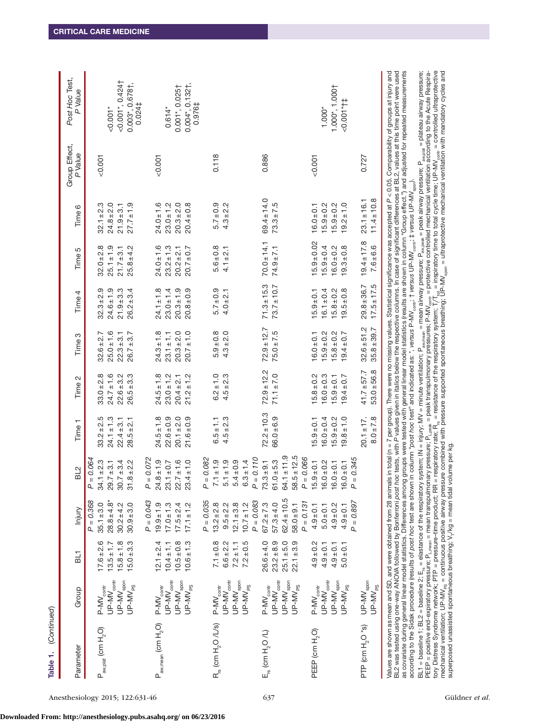| Table 1. (Continued)                                                                                                                                                |                                                                                                |                                                                    |                                                                                              |                                                                                                                                       |                                                                    |                                                                      |                                                                    |                                                                        |                                                                       |                                                                                                                                                  |                          |                                                                                                                                                                                                                                                                                                                                                                                                                                                                                                                                                                                                                                                                                                                                                                                                                                                                                                                                                                                                                                                                                                                                                                                                                  |
|---------------------------------------------------------------------------------------------------------------------------------------------------------------------|------------------------------------------------------------------------------------------------|--------------------------------------------------------------------|----------------------------------------------------------------------------------------------|---------------------------------------------------------------------------------------------------------------------------------------|--------------------------------------------------------------------|----------------------------------------------------------------------|--------------------------------------------------------------------|------------------------------------------------------------------------|-----------------------------------------------------------------------|--------------------------------------------------------------------------------------------------------------------------------------------------|--------------------------|------------------------------------------------------------------------------------------------------------------------------------------------------------------------------------------------------------------------------------------------------------------------------------------------------------------------------------------------------------------------------------------------------------------------------------------------------------------------------------------------------------------------------------------------------------------------------------------------------------------------------------------------------------------------------------------------------------------------------------------------------------------------------------------------------------------------------------------------------------------------------------------------------------------------------------------------------------------------------------------------------------------------------------------------------------------------------------------------------------------------------------------------------------------------------------------------------------------|
| Parameter                                                                                                                                                           | Group                                                                                          | $\overline{a}$                                                     | Injury                                                                                       | BL2                                                                                                                                   | Time <sub>1</sub>                                                  | Time 2                                                               | Time <sub>3</sub>                                                  | Time 4                                                                 | Time 5                                                                | Time 6                                                                                                                                           | Group Effect,<br>P Value | Post Hoc Test,<br>P Value                                                                                                                                                                                                                                                                                                                                                                                                                                                                                                                                                                                                                                                                                                                                                                                                                                                                                                                                                                                                                                                                                                                                                                                        |
| $P_{\text{aw,plat}}$ (cm $H_2O$ )                                                                                                                                   | $UP$ -MV $_{\rm contr}$<br>$UP$ -MV spon<br>$UP-MV_{PS}$<br>$P-MV_{\rm contr}$                 | $17.6 \pm 2.6$<br>$15.8 \pm 1.8$<br>$15.0 + 3.3$<br>$13.5 \pm 1.7$ | $P = 0.368$<br>$28.8 \pm 4.8$ <sup>*</sup><br>$35.1 + 3.0$<br>$30.9 + 3.0$<br>$30.2 \pm 4.2$ | $= 0.064$<br>$34.1 \pm 2.3$<br>$30.7 + 3.4$<br>$31.8 \pm 2.2$<br>$29.7 \pm 3.1$<br>Ä,                                                 | $33.2 \pm 2.5$<br>$24.1 \pm 1.3$<br>$22.4 + 3.1$<br>$28.5 + 2.1$   | $24.7 \pm 1.6$<br>$22.6 \pm 3.2$<br>$26.5 + 3.3$<br>$33.0 \pm 2.8$   | $25.0 \pm 1.6$<br>$22.3 + 3.1$<br>$26.7 + 3.7$<br>$32.6 \pm 2.7$   | $24.6 \pm 1.9$<br>တ<br>$21.9 + 3.3$<br>$26.2 \pm 3.4$<br>$32.3 \pm 2.$ | $32.0 \pm 2.8$<br>$25.1 \pm 1.9$<br>$25.8 + 4.2$<br>$21.7 + 3.1$      | $24.8 \pm 2.0$<br>$27.7 \pm 1.9$<br>$32.1 \pm 2.3$<br>$21.9 + 3.1$                                                                               | $-0.001$                 | $<$ 0.001*, 0.424†<br>$0.003$ *, $0.678$ †,<br>$50.001*$                                                                                                                                                                                                                                                                                                                                                                                                                                                                                                                                                                                                                                                                                                                                                                                                                                                                                                                                                                                                                                                                                                                                                         |
| $P_{\text{aw,mean}}$ (cm $H_2O$ )                                                                                                                                   | $UP$ -M $V_{\rm contr}$<br>$UP$ - $MV_{\text{spon}}$<br>$P-MV_{\rm contr}$<br>$UP$ -M $V_{PS}$ | $10.5 + 0.8$<br>$12.1 \pm 2.4$<br>$10.6 \pm 1.3$<br>$10.4 \pm 1.1$ | $P = 0.043$<br>$19.9 \pm 1.9$<br>$17.0 \pm 1.3$<br>$17.5 \pm 2.4$<br>$17.1 \pm 1.2$          | $= 0.072$<br>$24.8 \pm 1.9$<br>$22.7 \pm 1.6$<br>$23.4 \pm 1.0$<br>$23.1 \pm 0.7$<br>О.                                               | $24.5 \pm 1.8$<br>$20.1 + 2.0$<br>$22.6 \pm 0.9$<br>$21.6 \pm 0.9$ | $24.5 \pm 1.8$<br>$23.0 \pm 1.2$<br>$21.2 \pm 1.2$<br>$20.4 + 2.1$   | $24.3 \pm 1.8$<br>$20.3 + 2.0$<br>$20.7 \pm 1.0$<br>$23.1 \pm 1.1$ | $24.1 \pm 1.8$<br>$20.3 \pm 1.9$<br>$20.8 + 0.9$<br>$23.0 \pm 1.4$     | $24.0 \pm 1.6$<br>$23.2 \pm 1.3$<br>$20.7 \pm 0.7$<br>$20.2 \pm 2.1$  | $20.3 + 2.0$<br>$24.0 \pm 1.6$<br>$23.0 \pm 1.2$<br>$20.4 \pm 0.8$                                                                               | $-0.001$                 | $0.004$ <sup>*</sup> , $0.132$ <sup>+</sup> ,<br>0.001*, 0.025†<br>0.0241<br>0.976‡<br>$0.614*$                                                                                                                                                                                                                                                                                                                                                                                                                                                                                                                                                                                                                                                                                                                                                                                                                                                                                                                                                                                                                                                                                                                  |
| $R_{rs}$ (cm $H_2$ O /L/s)                                                                                                                                          | $UP$ -MV $_{\rm contr}$<br>$UP$ -MV spon<br>$UP$ -M $V_{PS}$<br>$P-MV_{\rm contr}$             | $7.1 \pm 0.8$<br>$6.6 \pm 2.2$<br>$7.2 \pm 0.5$<br>$7.2 \pm 1.1$   | $P = 0.035$<br>$13.2 \pm 2.8$<br>$12.1 \pm 3.8$<br>$9.5 \pm 2.2$<br>$10.7 \pm 1.2$           | $= 0.082$<br>$7.1 \pm 1.9$<br>$5.1 \pm 1.9$<br>$5.4 \pm 0.9$<br>$6.3 \pm 1.4$<br>Ä                                                    | $4.5 \pm 2.3$<br>$6.5 \pm 1.1$                                     | $6.2 \pm 1.0$<br>$4.5 \pm 2.3$                                       | $5.9 + 0.8$<br>$4.3 \pm 2.0$                                       | $5.7 \pm 0.9$<br>$4.0 \pm 2.1$                                         | $5.6 \pm 0.8$<br>$4.1 \pm 2.1$                                        | $5.7 \pm 0.9$<br>$4.3 \pm 2.2$                                                                                                                   | 0.118                    |                                                                                                                                                                                                                                                                                                                                                                                                                                                                                                                                                                                                                                                                                                                                                                                                                                                                                                                                                                                                                                                                                                                                                                                                                  |
| $E_{\text{rs}}$ (cm $H_2O$ /L)                                                                                                                                      | $UP$ -MV $_{\rm contr}$<br>$UP$ - $MV_{\text{spon}}$<br>$P-MV_{\rm contr}$<br>$UP$ - $MV_{PS}$ | $26.6 + 4.0$<br>$23.2 + 8.9$<br>$25.1 + 5.0$<br>$22.1 + 3.9$       | $62.4 \pm 10.5$<br>$P = 0.083$<br>$67.2 \pm 7.3$<br>$57.3 + 4.0$<br>$58.0 + 9.1$             | $58.5 \pm 12.5$<br>$64.1 \pm 11.9$<br>$= 0.110$<br>$73.3 + 9.1$<br>$61.0 + 5.3$<br>$\overline{a}$                                     | $72.2 \pm 10.3$<br>$66.0 + 6.9$                                    | $72.9 \pm 12.2$<br>$71.1 + 7.0$                                      | $72.9 \pm 12.7$<br>$75.0 \pm 7.5$                                  | $71.3 \pm 15.3$<br>$73.7 \pm 10.7$                                     | $70.0 \pm 14.1$<br>$74.9 \pm 7.1$                                     | $69.4 \pm 14.0$<br>$73.3 \pm 7.5$                                                                                                                | 0.886                    |                                                                                                                                                                                                                                                                                                                                                                                                                                                                                                                                                                                                                                                                                                                                                                                                                                                                                                                                                                                                                                                                                                                                                                                                                  |
| PEEP (cm H <sub>2</sub> O)                                                                                                                                          | $UP$ -M $V_{\rm contr}$<br>UP-MV <sub>spon</sub><br>$P-MV_{\rm contr}$<br>$UP$ -M $V_{PS}$     | $4.9 \pm 0.2$<br>$4.9 \pm 0.1$<br>$4.9 \pm 0.1$<br>$5.0 \pm 0.1$   | $P = 0.897$<br>$P = 0.131$<br>$4.9 \pm 0.2$<br>$4.9 \pm 0.1$<br>$5.0 + 0.1$<br>$4.9 \pm 0.1$ | $= 0.066$<br>$= 0.345$<br>$.9 \pm 0.1$<br>$16.0 \pm 0.2$<br>$16.0 \pm 0.1$<br>$16.0 \pm 0.1$<br>$\overline{a}$<br>$\frac{15}{2}$<br>Ä | $19.8 \pm 1.0$<br>$16.0 \pm 0.4$<br>$15.9 \pm 0.2$<br>$15.9 + 0.1$ | $16.0 \pm 0.3$<br>$15.8 \pm 0.2$<br>$15.9 \pm 0.1$<br>$19.4 \pm 0.7$ | $15.9 \pm 0.2$<br>$15.8 \pm 0.2$<br>$19.4 \pm 0.7$<br>$16.0 + 0.1$ | $16.1 \pm 0.4$<br>$15.8 \pm 0.2$<br>$19.5 \pm 0.8$<br>$15.9 \pm 0.1$   | $15.9 \pm 0.02$<br>$19.3 \pm 0.8$<br>$15.9 \pm 0.4$<br>$16.0 \pm 0.2$ | $15.9 \pm 0.2$<br>$15.9 \pm 0.2$<br>$19.2 \pm 1.0$<br>$16.0 + 0.1$                                                                               | $-0.001$                 | $1.000^*$ , $1.000$<br>$-0.001$ *†‡<br>$1.000*$                                                                                                                                                                                                                                                                                                                                                                                                                                                                                                                                                                                                                                                                                                                                                                                                                                                                                                                                                                                                                                                                                                                                                                  |
| PTP (cm H <sub>2</sub> O *s)                                                                                                                                        | $UP-MV_{\text{spon}}$<br>$UP-MV_{PS}$                                                          |                                                                    |                                                                                              |                                                                                                                                       | $20.1 \pm 17$ .<br>$8.0 \pm 7.8$                                   | $53.0 + 56.8$<br>$41.7 + 57.7$                                       | $32.6 + 51.2$<br>$35.8 \pm 39.7$                                   | $17.5 \pm 17.5$<br>$29.8 \pm 36.7$                                     | $19.4 \pm 17.8$<br>$7.6 + 6.6$                                        | $11.4 \pm 10.8$<br>$23.1 \pm 16.1$                                                                                                               | 0.727                    |                                                                                                                                                                                                                                                                                                                                                                                                                                                                                                                                                                                                                                                                                                                                                                                                                                                                                                                                                                                                                                                                                                                                                                                                                  |
| superposed unassisted spontaneous breathing; V <sub>r</sub> /kg = mean tidal volume per kg.<br>according to the Sidak procedure (results of post hoc test are shown |                                                                                                |                                                                    |                                                                                              |                                                                                                                                       |                                                                    |                                                                      |                                                                    |                                                                        |                                                                       | in column "post hoc test" and indicated as: *, versus P-MV <sub>sont</sub> ; † versus UP-MV <sub>sont;</sub> ; ‡ versus UP-MV <sub>spon</sub> ). |                          | tory ∪istress Syndrome network; PTP = pressure–time product; RR = respiratory rate; R <sub>s</sub> = resistance of the respiratory system; T <sub>{Text</sub> = inspiratory time to total cycle time; UP-MV <sub>sont</sub> = controlled ultraprotective<br>me<br>Values are shown as mean and SD, and were obtained from 28 animals in total (n = 7 per group). There were no missing values. Statistical significance was accepted at P< 0.05. Comparability of groups at injury and<br>BL2 was tested using one-way ANOVA followed by Bonferroni post hoc tests, with P values given in italics below the respective columns. In case of significant differences at BL2, values at this time point were used<br>as covariate during general linear model statistics. Differences among groups were tested with general linear model statistics (results are shown in column "Group effect.") and adjusted for repeated measurements<br>BL1 = baseline 1; BL2 = baseline 2; E <sub>s</sub> = elastance of the respiratory system; IN = injury; MV = minute verrilation; P <sub>awrean</sub> = mean airway pressure; P <sub>awreak</sub> = peak airway pressure; P <sub>awreak</sub> = plateau airway pressure; |

**Downloaded From: http://anesthesiology.pubs.asahq.org/ on 06/23/2016**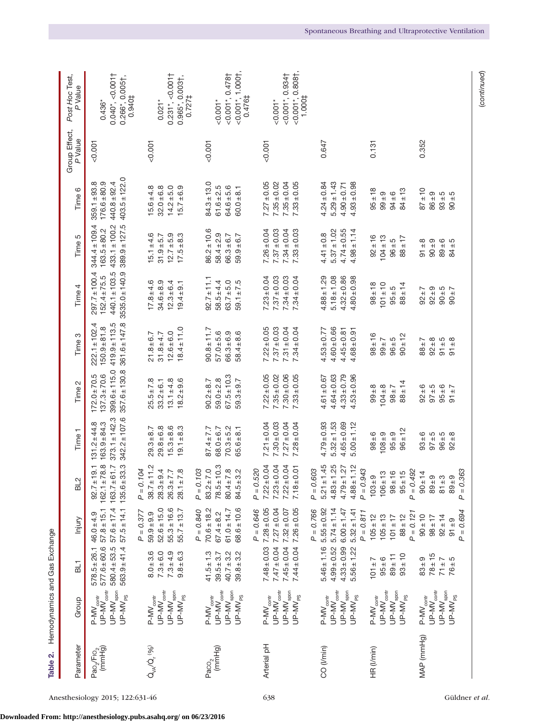| Table 2.                                     | Hemodynamics and Gas Exchange                                                                             |                                                                          |                                                                                         |                                                                                                                           |                                                                                |                                                                                |                                                                             |                                                                                                 |                                                                                               |                                                                          |                          |                                                                            |
|----------------------------------------------|-----------------------------------------------------------------------------------------------------------|--------------------------------------------------------------------------|-----------------------------------------------------------------------------------------|---------------------------------------------------------------------------------------------------------------------------|--------------------------------------------------------------------------------|--------------------------------------------------------------------------------|-----------------------------------------------------------------------------|-------------------------------------------------------------------------------------------------|-----------------------------------------------------------------------------------------------|--------------------------------------------------------------------------|--------------------------|----------------------------------------------------------------------------|
| Parameter                                    | Group                                                                                                     | $\overline{B}$                                                           | Injury                                                                                  | $\frac{2}{3}$                                                                                                             | Time <sub>1</sub>                                                              | Time 2                                                                         | Time 3                                                                      | Time 4                                                                                          | Time 5                                                                                        | Time 6                                                                   | Group Effect,<br>P Value | Post Hoc Test,<br>P Value                                                  |
| Pao <sub>2</sub> /Fio <sub>2</sub><br>(mmHg) | $UP$ - $M\widetilde{V}_{\rm contr}$<br>$UP$ -M $V_{\text{spon}}$<br>$UP-MV_{PS}$<br>$P-MV_{\text{coptr}}$ | $578.5 \pm 26.1$<br>$577.6 \pm 60.6$<br>$580.4 + 53.5$<br>$563.9 + 41.4$ | $57.6 \pm 17.4$<br>$57.8 \pm 15.1$<br>$57.5 \pm 14.1$<br>$46.0 \pm 4.9$                 | $162.1 \pm 78.8$<br>.33.3<br>$92.7 \pm 19.1$<br>5.16<br>$163.7 +$<br>$135.6 +$                                            | $342.2 \pm 107.6$<br>$373.1 \pm 142.3$<br>$131.2 \pm 44.8$<br>$163.9 \pm 84.3$ | $399.6 \pm 115.0$<br>$357.6 \pm 130.8$<br>$172.0 \pm 70.5$<br>$137.3 \pm 70.6$ | $361.6 \pm 147.8$<br>$419.9 + 113.5$<br>$222.1 \pm 102.4$<br>$150.9 + 81.8$ | $3535.0 \pm 140.9$ $389.9 \pm 127.5$ $403.5 \pm 122.0$<br>$297.7 \pm 100.4$<br>$152.4 \pm 75.5$ | $440.1 \pm 103.5$ 433.1 $\pm$ 100.2 440.8 $\pm$ 92.4<br>$344.4 \pm 109.4$<br>$163.5 \pm 80.2$ | $359.1 \pm 93.8$<br>$176.6 + 80.9$                                       | 1001                     | $0.040^*$ , < $0.0011$<br>$0.266^*$ , $0.005$ †,<br>0.940‡<br>$0.436*$     |
| $Q_{\nu A}/\dot{Q}_{r}$ (%)                  | $UP$ -M $V_{\rm contr}$<br>$UP$ -M $V_{\text{spon}}$<br>$UP$ -M $V_{PS}$<br>$P-MV_{contr}$                | $8.0 + 3.6$<br>$7.3 + 6.0$<br>$7.3 \pm 4.9$<br>$9.8 + 6.3$               | $52.6 \pm 15.0$<br>$55.3 \pm 16.6$<br>$55.7 \pm 13.7$<br>$P = 0.377$<br>$59.9 + 9.9$    | $38.7 \pm 11.2$<br>$P = 0.104$<br>0.4<br>$28.1 \pm 7.8$<br>$26.3 \pm 7.7$<br>$28.3 +$                                     | $29.8 + 6.8$<br>$15.3 + 8.6$<br>$29.3 + 8.7$<br>$19.1 + 8.3$                   | $25.5 \pm 7.8$<br>$13.1 \pm 4.8$<br>$18.2 \pm 9.6$<br>$33.2 \pm 6.1$           | $18.4 \pm 11.0$<br>$12.6 \pm 6.0$<br>$21.8 + 6.7$<br>$31.8 + 4.7$           | $17.8 + 4.6$<br>$34.6 + 8.9$<br>$12.3 \pm 6.4$<br>$19.4 + 9.1$                                  | $15.1 \pm 4.6$<br>$31.9 \pm 5.7$<br>$12.7 + 5.9$<br>$17.5 + 8.3$                              | $15.7 \pm 6.9$<br>$15.6 \pm 4.8$<br>$32.0 + 6.8$<br>$14.2 + 5.0$         | &0.001                   | $0.231^*$ , < $0.0011$<br>$0.965$ *, $0.003$ †,<br>$0.727 \pm$<br>$0.021*$ |
| Paco <sub>2</sub><br>(mmHg)                  | $UP$ -M $V_{\rm contr}$<br>$UP$ -M $V_{\text{spon}}$<br>$P-MV_{contr}$<br>$UP-MV_{PS}$                    | $41.5 \pm 1.3$<br>$40.7 \pm 3.2$<br>$39.8 \pm 3.2$<br>$39.5 + 3.7$       | $70.6 \pm 18.2$<br>$68.6 \pm 10.6$<br>61.0 ± 14.7<br>$P = 0.840$<br>$67.4 + 8.2$        | $78.5 \pm 10.3$<br>$83.2 \pm 7.0$<br>$P = 0.103$<br>$80.4 \pm 7.8$<br>3.2<br>$84.5 +$                                     | $87.4 \pm 7.7$<br>$70.3 + 5.2$<br>$68.0 \pm 6.7$<br>$65.6 \pm 8.1$             | $67.5 \pm 10.3$<br>$59.0 \pm 2.8$<br>$59.3 \pm 9.7$<br>$90.2 + 8.7$            | $90.8 \pm 11.7$<br>$57.0 + 5.6$<br>$58.4 + 8.6$<br>$66.3 \pm 6.9$           | $92.7 \pm 11.1$<br>$58.5 + 4.4$<br>$63.7 + 5.0$<br>$59.1 \pm 7.5$                               | $86.2 \pm 10.6$<br>$58.4 \pm 2.9$<br>$59.9 + 6.7$<br>$66.3 \pm 6.7$                           | $84.3 \pm 13.0$<br>$61.6 + 2.5$<br>$64.6 + 5.6$<br>$60.0 + 8.1$          | < 0.001                  | $<$ 0.001*, 0.478†<br>$<$ 0.001*, 1.000†,<br>0.476‡<br>$0.001*$            |
| Arterial pH                                  | $UP$ -M $V_{\rm contr}$<br>$UP$ -M $V_{\text{spon}}$<br>$P-MV_{contr}$<br>$UP-MV_{PS}$                    | $7.47 \pm 0.04$<br>$7.45 \pm 0.04$<br>$7.48 \pm 0.03$<br>$7.44 \pm 0.04$ | $7.28 \pm 0.05$<br>$7.26 \pm 0.05$<br>$7.27 \pm 0.04$<br>$7.32 \pm 0.07$<br>$P = 0.646$ | $7.22 \pm 0.04$<br>$-0.04$<br>$7.23 \pm 0.04$<br>$7.18 + 0.01$<br>$P = 0.520$<br>$7.22 \pm$                               | $7.21 \pm 0.04$<br>$7.30 \pm 0.03$<br>$7.27 \pm 0.04$<br>$7.28 \pm 0.04$       | $7.22 \pm 0.05$<br>$7.30 \pm 0.06$<br>$7.35 \pm 0.02$<br>$7.33 \pm 0.05$       | $7.22 \pm 0.05$<br>$7.37 \pm 0.03$<br>$7.31 \pm 0.04$<br>$7.34 \pm 0.04$    | $7.23 \pm 0.04$<br>$7.37 \pm 0.03$<br>$7.34 \pm 0.03$<br>$7.34 \pm 0.04$                        | $7.26 \pm 0.04$<br>$7.37 \pm 0.03$<br>$7.34 \pm 0.04$<br>$7.33 \pm 0.03$                      | $7.27 \pm 0.05$<br>$7.35 \pm 0.02$<br>$7.35 \pm 0.04$<br>$7.33 \pm 0.05$ | &0.001                   | $<$ 0.001*, 0.808†,<br>$<$ 0.001*, 0.934†<br>1.000‡<br>$< 0.001*$          |
| CO (I/min)                                   | $UP$ -M $V_{\rm contr}$<br>UP-MV <sub>spon</sub><br>$P-MV_{contr}$<br>$UP-MV_{PS}$                        | $4.99 \pm 0.52$<br>$4.33 \pm 0.99$<br>$5.46 \pm 1.16$<br>$5.56 \pm 1.22$ | $5.55 \pm 0.92$<br>$5.74 \pm 1.14$<br>$6.00 \pm 1.47$<br>$5.32 \pm 1.41$<br>$P = 0.766$ | $5.21 \pm 1.45$<br>:1.25<br>$4.88 \pm 1.12$<br>$4.79 \pm 1.27$<br>$P = 0.603$<br>$4.83 \pm$                               | $4.79 + 0.93$<br>$5.32 \pm 1.53$<br>$4.65 + 0.69$<br>$5.00 \pm 1.12$           | $4.33 \pm 0.79$<br>$4.61 \pm 0.67$<br>$4.64 \pm 0.63$<br>$4.53 \pm 0.96$       | $4.60 + 0.66$<br>$4.53 \pm 0.77$<br>$4.45 \pm 0.81$<br>$4.68 + 0.91$        | $4.88 \pm 1.29$<br>$5.18 \pm 1.08$<br>$4.32 \pm 0.86$<br>$4.80 \pm 0.98$                        | $4.74 \pm 0.55$<br>$5.37 \pm 1.02$<br>$4.98 \pm 1.14$<br>$4.41 \pm 0.8$                       | $4.24 \pm 0.84$<br>$5.29 \pm 1.43$<br>$4.93 \pm 0.98$<br>$4.90 \pm 0.71$ | 0.647                    |                                                                            |
| HR (I/min)                                   | $UP$ -MV $_{\rm contr}$<br>$UP$ - $MV_{\text{spon}}$<br>$UP$ -M $V_{PS}$<br>$P-MV_{\text{contr}}$         | $93 \pm 10$<br>$89 + 11$<br>$95 \pm 6$<br>$7 + 7$                        | $P = 0.811$<br>$105 \pm 12$<br>$105 \pm 13$<br>$88 \pm 12$<br>$101 \pm 17$              | $P = 0.943$<br>$95 \pm 15$<br>$106 \pm 13$<br>$98 \pm 16$<br>$103 + 9$                                                    | $96 \pm 12$<br>$98 \pm 6$<br>$9 = 801$<br>$95 + 9$                             | $88 + 14$<br>$99 \pm 8$<br>$104 + 8$<br>$58 \pm 7$                             | $98 + 16$<br>$90 \pm 12$<br>$96 + 5$<br>$7 + 66$                            | $98 \pm 18$<br>$101 \pm 10$<br>$88 + 14$<br>$95 + 5$                                            | $92 \pm 16$<br>$104 \pm 13$<br>$88 + 17$<br>$96 \pm 5$                                        | $95 \pm 18$<br>$84 \pm 13$<br>$99 \pm 9$<br>$94 \pm 6$                   | 0.131                    |                                                                            |
| MAP (mmHg)                                   | $UP$ - $MV_{\rm contr}$<br>UP-MV <sub>spon</sub><br>$P-MV_{\text{contr}}$<br>$UP-MV_{PS}$                 | $78 + 15$<br>$83 + 9$<br>$71 \pm 7$<br>76±5                              | $P = 0.694$<br>$P = 0.121$<br>$90 \pm 10$<br>$92 \pm 14$<br>$98 \pm 17$<br>$91 + 9$     | $P = 0.492$<br>$= 0.363$<br>$90 \pm 14$<br>$\overline{Q}$<br>$\overline{O}$<br>ო<br>$89 +$<br>$rac{+}{8}$<br>$89 +$<br>Q. | $93 \pm 6$<br>$37 + 5$<br>$96 + 5$<br>$92 \pm 8$                               | $92 \pm 6$<br>$97 + 5$<br>$95 \pm 6$<br>$5 + 7$                                | $92 \pm 8$<br>$91 \pm 5$<br>$91 \pm 8$<br>$88 \pm 7$                        | $92 + 9$<br>$9 - 5$<br>$92 \pm 7$<br>$2\mp06$                                                   | $91 \pm 8$<br>$90 + 9$<br>$89 + 6$<br>$84 + 5$                                                | $87 \pm 10$<br>$86 + 9$<br>$90 \pm 5$<br>$93 + 5$                        | 0.352                    |                                                                            |

(*continued*)

(continued)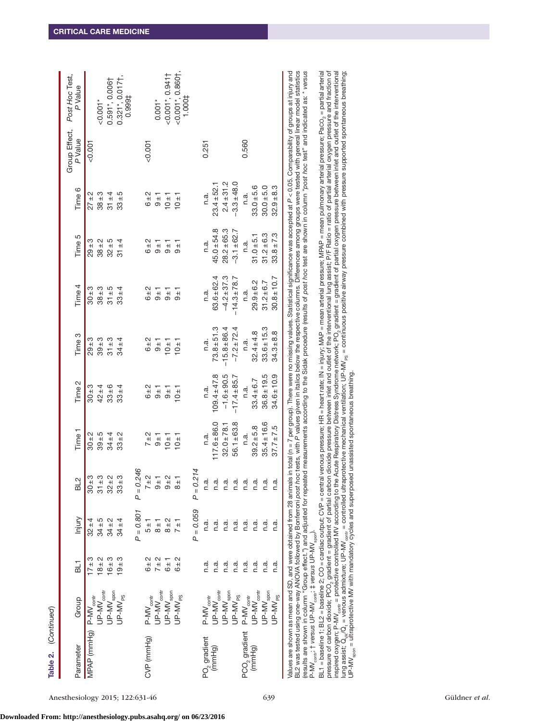| Table 2. (Continued)               |                                                                                             |                 |                    |                                    |                   |                   |                   |                  |                 |                 |          |                                                                                                                                                                                                                                                                                                                                                                                                                                                                                                                                                                                                                                                            |
|------------------------------------|---------------------------------------------------------------------------------------------|-----------------|--------------------|------------------------------------|-------------------|-------------------|-------------------|------------------|-----------------|-----------------|----------|------------------------------------------------------------------------------------------------------------------------------------------------------------------------------------------------------------------------------------------------------------------------------------------------------------------------------------------------------------------------------------------------------------------------------------------------------------------------------------------------------------------------------------------------------------------------------------------------------------------------------------------------------------|
| Parameter                          | Group                                                                                       | BL <sub>1</sub> | Injury             | BL2                                | Time <sub>1</sub> | Time <sub>2</sub> | Time <sub>3</sub> | Time 4           | Time 5          | Time 6          | P Value  | Group Effect, Post Hoc Test,<br>P Value                                                                                                                                                                                                                                                                                                                                                                                                                                                                                                                                                                                                                    |
| MPAP (mmHg) P-MV contr             |                                                                                             | $17 + 3$        | $32 + 4$           | ო<br>$\pm 08$                      | $30 + 2$          | $30 + 3$          | $29 + 3$          | $30 + 3$         | $29 + 3$        | $27 \pm 2$      | &0.007   |                                                                                                                                                                                                                                                                                                                                                                                                                                                                                                                                                                                                                                                            |
|                                    | $UP$ -MV $_{\rm contr}$                                                                     | $18 + 2$        | $34 + 5$           | ო<br>$\frac{1}{31}$                | $39 + 5$          | $42 + 4$          | $39 + 3$          | $38 + 3$         | $38 + 2$        | $38 + 3$        |          | $-0.001*$                                                                                                                                                                                                                                                                                                                                                                                                                                                                                                                                                                                                                                                  |
|                                    | UP-MV <sub>spon</sub>                                                                       | $16 + 3$        | $34 \pm 2$         | $\sim$<br>$32 \pm$                 | $34 \pm 4$        | $33 \pm 6$        | $31 \pm 3$        | $31 + 5$         | $32 + 5$        | $31 + 4$        |          | $0.591$ ", $0.006$                                                                                                                                                                                                                                                                                                                                                                                                                                                                                                                                                                                                                                         |
|                                    | $UP-MV_{PS}$                                                                                | $19 + 3$        | $34 \pm 4$         | က<br>$33 \pm$                      | $33 \pm 2$        | $33 + 4$          | $34 + 4$          | $33 \pm 4$       | $31 \pm 4$      | $33 \pm 5$      |          | $0.321$ *, $0.017$<br>1,999#                                                                                                                                                                                                                                                                                                                                                                                                                                                                                                                                                                                                                               |
|                                    |                                                                                             |                 | $P = 0.801$        | 246<br>$P = 0$ .                   |                   |                   |                   |                  |                 |                 |          |                                                                                                                                                                                                                                                                                                                                                                                                                                                                                                                                                                                                                                                            |
| CVP (mmHg)                         | $P-MV_{\text{contr}}$                                                                       | 6 ± 2           | $\pm$              | $\mathbf{\Omega}$<br>$\frac{1}{2}$ | $7 \pm 2$         | $6 + 2$           | 6 ± 2             | 6 ± 2            | $6 + 2$         | 6 ± 2           | $-0.001$ |                                                                                                                                                                                                                                                                                                                                                                                                                                                                                                                                                                                                                                                            |
|                                    | $UP-MV_{\rm contr}$                                                                         | $7 \pm 2$       | $\frac{+}{\infty}$ | $\frac{4}{5}$                      | $\frac{1}{9}$     | $-10+$            | $-10$             | $-10$            | $-10^{+1}$      | $-10^{+1}$      |          | $0.001*$                                                                                                                                                                                                                                                                                                                                                                                                                                                                                                                                                                                                                                                   |
|                                    | $UP$ -MV spon                                                                               | $6 \pm 1$       | $8 \pm 2$          | $\sim$<br>$\frac{+}{0}$            | $-10 + 1$         | $\frac{1}{9}$     | $-10 + 1$         | $\frac{+}{0}$    | $-10^{+1}$      | $10 + 1$        |          | $<$ 0.001*, 0.941†                                                                                                                                                                                                                                                                                                                                                                                                                                                                                                                                                                                                                                         |
|                                    | $UP-MV_{PS}$                                                                                | 6 ± 2           | $7 \pm 1$          | $\frac{+}{8}$                      | $10 \pm 1$        | 10±1              | $10 \pm 1$        | −<br>ອ           | $-6 + 1$        | $-10 + 1$       |          | $<$ 0.001*, 0.860†,<br>1.000‡                                                                                                                                                                                                                                                                                                                                                                                                                                                                                                                                                                                                                              |
|                                    |                                                                                             |                 | $P = 0.059$        | 214<br>$P = 0$ .                   |                   |                   |                   |                  |                 |                 |          |                                                                                                                                                                                                                                                                                                                                                                                                                                                                                                                                                                                                                                                            |
| PO <sub>2</sub> gradient<br>(mmHg) | $P-MV_{\text{contr}}$                                                                       | n.a.            | n.a.               | n.a                                | n.a.              | n.a.              | n.a.              | n.a.             | n.a.            | n.a.            | 0.251    |                                                                                                                                                                                                                                                                                                                                                                                                                                                                                                                                                                                                                                                            |
|                                    | $UP$ -MV $_{\rm contr}$                                                                     | n.a.            | n.a.               | n.a                                | $17.6 + 86.0$     | $09.4 + 47.8$     | $73.8 + 51.3$     | $63.6 \pm 62.4$  | $45.0 + 54.8$   | $23.4 + 52.1$   |          |                                                                                                                                                                                                                                                                                                                                                                                                                                                                                                                                                                                                                                                            |
|                                    | UP-MV <sub>spon</sub>                                                                       | n.a.            | n.a.               | n.a                                | $32.0 \pm 78.1$   | $-1.6 + 90.5$     | $-15.8 + 86.4$    | $-4.2 \pm 37.3$  | $28.2 + 65.3$   | $2.4 + 31.2$    |          |                                                                                                                                                                                                                                                                                                                                                                                                                                                                                                                                                                                                                                                            |
|                                    | $UP-MV_{PS}$                                                                                | n.a.            | n.a.               | n.a                                | $56.1 \pm 63.8$   | $-17.4 + 85.7$    | $-7.2 \pm 72.4$   | $-14.3 \pm 78.7$ | $-3.1 \pm 62.7$ | $-3.3 \pm 48.0$ |          |                                                                                                                                                                                                                                                                                                                                                                                                                                                                                                                                                                                                                                                            |
| PCO <sub>2</sub> gradient          | $P-MV_{\text{contr}}$                                                                       | n.a.            | n.a.               | n.a                                | n.a.              | n.a.              | n.a.              | n.a.             | n.a.            | n.a.            | 0.560    |                                                                                                                                                                                                                                                                                                                                                                                                                                                                                                                                                                                                                                                            |
| (mmHg)                             | JP-MV <sub>contr</sub>                                                                      | n.a.            | n.a.               | n.a                                | $39.2 + 5.8$      | $33.4 + 6.7$      | $32.4 \pm 4.8$    | $29.9 + 6.2$     | $31.0 + 5.1$    | $33.0 + 5.6$    |          |                                                                                                                                                                                                                                                                                                                                                                                                                                                                                                                                                                                                                                                            |
|                                    | UP-MV <sub>spon</sub>                                                                       | n.a.            | n.a.               | n.a                                | $35.4 \pm 16.6$   | $36.8 \pm 19.5$   | $33.6 \pm 15.3$   | $31.2 + 6.7$     | $31.2 \pm 6.3$  | $30.0 + 5.0$    |          |                                                                                                                                                                                                                                                                                                                                                                                                                                                                                                                                                                                                                                                            |
|                                    | $UP-MV_{PS}$                                                                                | ี<br>ด.ส        | n.a.               | n.a                                | $37.7 \pm 7.5$    | $34.6 \pm 10.9$   | $34.3 + 8.8$      | $30.8 \pm 10.7$  | $33.8 \pm 7.3$  | $32.9 + 8.3$    |          |                                                                                                                                                                                                                                                                                                                                                                                                                                                                                                                                                                                                                                                            |
|                                    | P-MV <sub>sontr</sub> ; † versus UP-MV <sub>sontr</sub> ; ‡ versus UP-MV <sub>spon</sub> ). |                 |                    |                                    |                   |                   |                   |                  |                 |                 |          | BL2 was tested using one-way ANOVA followed by Bonferroni post hoc tests, with P values given in italics below the respective columns. Differences among groups were tested with general linear model statistics<br>results are shown in column "Group effect.") and adjusted for repeated measurements according to the Sidak procedure (results of post hoc test are shown in column "post hoc test" and indicated as: * versus<br>Values are shown as mean and SD, and were obtained from 28 animals in total (n = 7 per group). There were no missing values. Statistical significance was accepted at P < 0.05. Comparability of groups at injury and |

BL1 = baseline 1; BL2 = baseline 2; CO = cardiac output; CO = cardial venous pressure; HR = heart rate; IN = injury; MAP = mean arterial pressure; MPAP = mean pulmonary arterial pressure; Pac $\rm{C_2}$  = partial arterial

BL1 = baseline 1; BL2 = baseline 2; CO = cardiac output; CVP = central venous pressure; HR = heart rate; IN = injury; MAP = mean arterial pressure; MPAP = mean pulmonary arterial pressure; PaCO<sub>2</sub> = partial arterial pressu pressure of carbon dioxide; PCO<sub>2</sub> gradient of partial carbon dioxide pressure between inlet and outlet of the interventional lung assist; P/F Ratio = ratio of partial arterial oxygen pressure and fraction of inspired oxygen; P-MV $_{\rm{scult}}$  = protective controlled MV according to the Acute Respiratory Distress Syndrome network; PO<sub>2</sub> gradient = gradient of partial oxygen pressure between inlet and outlet of the interventional lung assist; Q<sub>ox</sub>/Q<sub>t =</sub> venous admixture; UP-MV<sub>contr</sub> = controlled ultraprotective mechanical ventilation; UP-MV<sub>es =</sub> continuous positive airway pressure combined with pressure supported spontaneous breathing; UP-M<sub>Vspon</sub> = ultraprotective MV with mandatory cycles and superposed unassisted spontaneous breathing.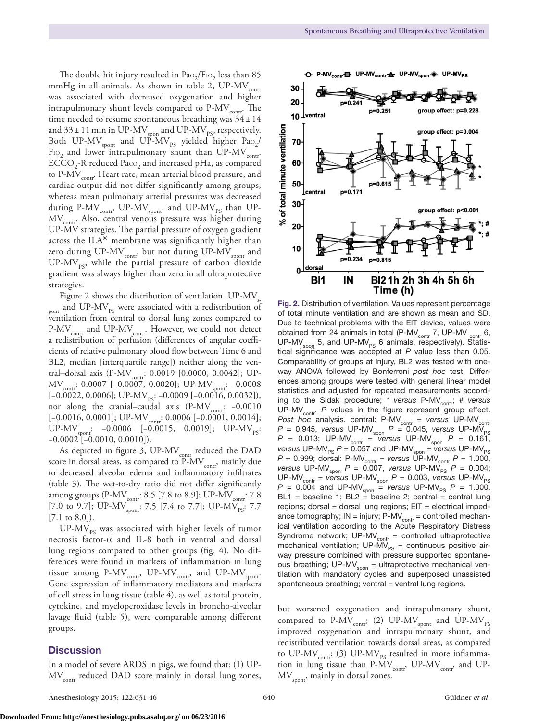The double hit injury resulted in  $PaO<sub>2</sub>/FiO<sub>2</sub>$  less than 85 mmHg in all animals. As shown in table 2,  $UP\text{-}MV_{\text{contr}}$ was associated with decreased oxygenation and higher intrapulmonary shunt levels compared to  $P-MV_{\text{contr}}$ . The time needed to resume spontaneous breathing was  $34 \pm 14$ and 33 ± 11 min in UP-MV $_{\rm spon}$  and UP-MV $_{\rm PS}$ , respectively. Both UP-MV<sub>spont</sub> and UP-MV<sub>PS</sub> yielded higher Pao<sub>2</sub>/ FIO, and lower intrapulmonary shunt than UP-MV<sub>contr</sub>.  $ECCO<sub>2</sub>$ -R reduced Paco<sub>2</sub> and increased pHa, as compared to P-MV<sub>contr</sub>. Heart rate, mean arterial blood pressure, and cardiac output did not differ significantly among groups, whereas mean pulmonary arterial pressures was decreased during P-MV<sub>contr</sub>, UP-MV<sub>spont</sub>, and UP-MV<sub>PS</sub> than UP-MV<sub>contr</sub>. Also, central venous pressure was higher during UP-MV strategies. The partial pressure of oxygen gradient across the ILA® membrane was significantly higher than zero during UP-MV<sub>contr</sub>, but not during UP-MV<sub>spont</sub> and UP-MV<sub>ps</sub>, while the partial pressure of carbon dioxide gradient was always higher than zero in all ultraprotective strategies.

Figure 2 shows the distribution of ventilation.  $UP-MV_s$ pont and  $UP-MV_{PS}$  were associated with a redistribution of ventilation from central to dorsal lung zones compared to  $P-MV_{\text{contr}}$  and UP-MV<sub>contr</sub>. However, we could not detect a redistribution of perfusion (differences of angular coefficients of relative pulmonary blood flow between Time 6 and BL2, median [interquartile range]) neither along the ventral-dorsal axis (P-MVcontr: 0.0019 [0.0000, 0.0042]; UP-MV<sub>contr</sub>: 0.0007 [-0.0007, 0.0020]; UP-MV<sub>spont</sub>: -0.0008  $[-0.0022, 0.0006]$ ; UP-MV<sub>ps</sub>:  $-0.0009$  [ $-0.0016, 0.0032$ ]), nor along the cranial–caudal axis (P-MV<sub>contr</sub>: -0.0010 [-0.0016, 0.0001]; UP-MV<sub>contr</sub>: 0.0006 [-0.0001, 0.0014]; UP-MV<sub>spont</sub>: -0.0006 [-0.0015, 0.0019]; UP-MV<sub>ps</sub>: −0.0002 [−0.0010, 0.0010]).

As depicted in figure 3, UP-MV<sub>contr</sub> reduced the DAD score in dorsal areas, as compared to  $P-MV_{\text{contr}}$ , mainly due to decreased alveolar edema and inflammatory infiltrates (table 3). The wet-to-dry ratio did not differ significantly among groups (P-MV<sub>contr</sub>: 8.5 [7.8 to 8.9]; UP-MV<sub>contr</sub>: 7.8 [7.0 to 9.7]; UP-MV $_{\text{spont}}$ : 7.5 [7.4 to 7.7]; UP-MV $_{\text{ps}}$ : 7.7 [7.1 to 8.0]).

UP-MV<sub>ps</sub> was associated with higher levels of tumor necrosis factor-α and IL-8 both in ventral and dorsal lung regions compared to other groups (fig. 4). No differences were found in markers of inflammation in lung tissue among  $P-MV_{\text{contr}}$ , UP-MV<sub>contr</sub>, and UP-MV<sub>spont</sub>. Gene expression of inflammatory mediators and markers of cell stress in lung tissue (table 4), as well as total protein, cytokine, and myeloperoxidase levels in broncho-alveolar lavage fluid (table 5), were comparable among different groups.

# **Discussion**



Fig. 2. Distribution of ventilation. Values represent percentage of total minute ventilation and are shown as mean and SD. Due to technical problems with the EIT device, values were obtained from 24 animals in total (P-MV<sub>contr</sub> 7, UP-MV contr 6, UP-MV<sub>spon</sub> 5, and UP-MV<sub>PS</sub> 6 animals, respectively). Statistical significance was accepted at *P* value less than 0.05. Comparability of groups at injury, BL2 was tested with oneway ANOVA followed by Bonferroni *post hoc* test. Differences among groups were tested with general linear model statistics and adjusted for repeated measurements according to the Sidak procedure; \* *versus* P-MV<sub>cont</sub>; # *versus* UP-MV<sub>contr</sub>. P values in the figure represent group effect. *Post hoc* analysis, central: P-MV<sub>contr</sub> = versus UP-MV<sub>contr</sub>  $P = 0.945$ , *versus* UP-MV<sub>spon</sub>  $P = 0.045$ , *versus* UP-MV<sub>PS</sub>  $P = 0.013$ ; UP-MV<sub>contr</sub> = *versus* UP-MV<sub>spon</sub>  $P = 0.161$ , *versus* UP-MV<sub>PS</sub>  $P = 0.057$  and UP-MV<sub>spon</sub> = *versus* UP-MV<sub>PS</sub>  $P = 0.999$ ; dorsal: P-MV<sub>contr</sub> = *versus* UP-MV<sub>contr</sub>  $P = 1.000$ , *versus* UP-MV<sub>spon</sub>  $P = 0.007$ , *versus* UP-MV<sub>PS</sub>  $P = 0.004$ ;  $UP\text{-}MV_{\text{contr}} = \text{versus }UP\text{-}MV_{\text{spon}} P = 0.003$ , *versus*  $UP\text{-}MV_{\text{PS}}$  $P = 0.004$  and UP-MV<sub>spon</sub> = versus UP-MV<sub>PS</sub>  $P = 1.000$ .  $BL1$  = baseline 1;  $BL2$  = baseline 2; central = central lung  $regions; dorsal = dorsal lung regions; EIT = electrical imped$ ance tomography;  $IN = injury$ ;  $P-MV_{contr} = controlled mechanical$ ical ventilation according to the Acute Respiratory Distress Syndrome network; UP-MV $_{\text{contr}}$  = controlled ultraprotective mechanical ventilation;  $UP\text{-}MV_{PS} =$  continuous positive airway pressure combined with pressure supported spontaneous breathing; UP-MV $_{\text{spon}}$  = ultraprotective mechanical ventilation with mandatory cycles and superposed unassisted spontaneous breathing; ventral  $=$  ventral lung regions.

but worsened oxygenation and intrapulmonary shunt, compared to P-MV $_{\rm{cont}}$ ; (2) UP-MV $_{\rm{spont}}$  and UP-MV $_{\rm{PS}}$ improved oxygenation and intrapulmonary shunt, and redistributed ventilation towards dorsal areas, as compared to UP-MV<sub>contr</sub>; (3) UP-MV<sub>PS</sub> resulted in more inflammation in lung tissue than  $P\text{-}MV_{\text{contr}}$ , UP-MV<sub>contr</sub>, and UP- $\text{MV}_\text{spont}$ , mainly in dorsal zones.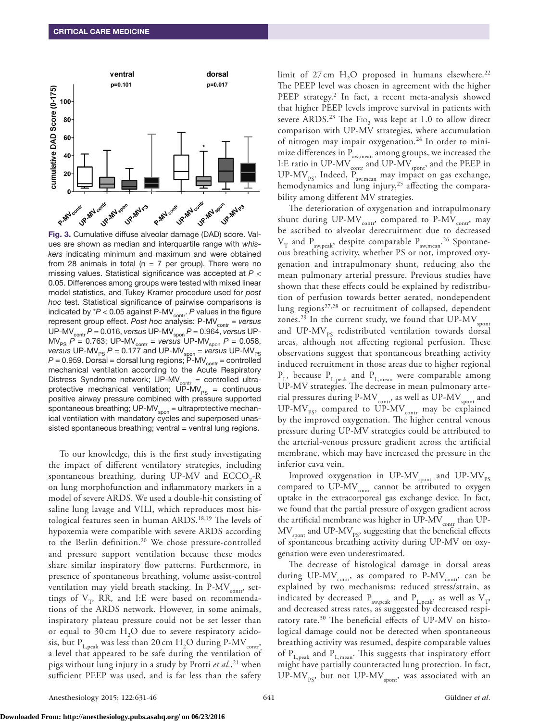

Fig. 3. Cumulative diffuse alveolar damage (DAD) score. Values are shown as median and interquartile range with *whiskers* indicating minimum and maximum and were obtained from 28 animals in total ( $n = 7$  per group). There were no missing values. Statistical significance was accepted at *P* < 0.05. Differences among groups were tested with mixed linear model statistics, and Tukey Kramer procedure used for *post hoc* test. Statistical significance of pairwise comparisons is indicated by  $*P < 0.05$  against P-MV<sub>contr</sub>.  $P$  values in the figure represent group effect. Post hoc analysis: P-MV<sub>contr</sub> = versus UP-MVcontr *P* = 0.016, *versus* UP-MVspon *P* = 0.964, *versus* UP- $\textsf{MV}_\textsf{\tiny PS} \ P$  = 0.763; UP-MV<sub>contr</sub> = *versus* UP-MV<sub>spon</sub>  $P$  = 0.058,  $versus$  UP-MV<sub>PS</sub>  $P = 0.177$  and UP-MV<sub>spon</sub> = *versus* UP-MV<sub>PS</sub>  $P = 0.959$ . Dorsal = dorsal lung regions;  $\overline{P}$ -MV<sub>contr</sub> = controlled mechanical ventilation according to the Acute Respiratory Distress Syndrome network; UP-MV $_{\text{contr}}$  = controlled ultraprotective mechanical ventilation;  $\overline{UP-MV}_{PS} =$  continuous positive airway pressure combined with pressure supported spontaneous breathing; UP-MV<sub>spon</sub> = ultraprotective mechanical ventilation with mandatory cycles and superposed unassisted spontaneous breathing; ventral = ventral lung regions.

To our knowledge, this is the first study investigating the impact of different ventilatory strategies, including spontaneous breathing, during UP-MV and  $ECCO<sub>2</sub>$ -R on lung morphofunction and inflammatory markers in a model of severe ARDS. We used a double-hit consisting of saline lung lavage and VILI, which reproduces most histological features seen in human ARDS.18,19 The levels of hypoxemia were compatible with severe ARDS according to the Berlin definition.<sup>20</sup> We chose pressure-controlled and pressure support ventilation because these modes share similar inspiratory flow patterns. Furthermore, in presence of spontaneous breathing, volume assist-control ventilation may yield breath stacking. In P-MV $_{\rm corr}$ , settings of  $V_T$ , RR, and I:E were based on recommendations of the ARDS network. However, in some animals, inspiratory plateau pressure could not be set lesser than or equal to 30 cm  $H<sub>2</sub>O$  due to severe respiratory acidosis, but  $P_{L,peak}$  was less than 20 cm  $H_2O$  during P-MV<sub>contr</sub>, a level that appeared to be safe during the ventilation of pigs without lung injury in a study by Protti *et al.*, 21 when sufficient PEEP was used, and is far less than the safety

limit of  $27 \text{ cm}$  H<sub>2</sub>O proposed in humans elsewhere.<sup>22</sup> The PEEP level was chosen in agreement with the higher PEEP strategy.<sup>2</sup> In fact, a recent meta-analysis showed that higher PEEP levels improve survival in patients with severe ARDS.<sup>23</sup> The F<sub>10</sub>, was kept at 1.0 to allow direct comparison with UP-MV strategies, where accumulation of nitrogen may impair oxygenation.<sup>24</sup> In order to minimize differences in  $P_{\text{aw,mean}}$  among groups, we increased the I:E ratio in UP-MV <sub>contr</sub> and UP-MV <sub>spont</sub>, and the PEEP in UP-MV<sub>PS</sub>. Indeed,  $P_{\text{aw,mean}}$  may impact on gas exchange, hemodynamics and lung injury,<sup>25</sup> affecting the comparability among different MV strategies.

The deterioration of oxygenation and intrapulmonary shunt during UP-MV<sub>contr</sub>, compared to P-MV<sub>contr</sub>, may be ascribed to alveolar derecruitment due to decreased  $\rm V_T$  and  $\rm P_{\rm aw, peak}$ , despite comparable  $\rm P_{\rm aw, mean}$ .<sup>26</sup> Spontaneous breathing activity, whether PS or not, improved oxygenation and intrapulmonary shunt, reducing also the mean pulmonary arterial pressure. Previous studies have shown that these effects could be explained by redistribution of perfusion towards better aerated, nondependent lung regions<sup>27,28</sup> or recruitment of collapsed, dependent zones.<sup>29</sup> In the current study, we found that  $UP-MV_{\text{spont}}$ and UP-MV $_{\rm ps}$  redistributed ventilation towards dorsal areas, although not affecting regional perfusion. These observations suggest that spontaneous breathing activity induced recruitment in those areas due to higher regional  $P_{L,peak}$  and  $P_{L,mean}$  were comparable among UP-MV strategies. The decrease in mean pulmonary arterial pressures during P-MV<sub>contr</sub>, as well as UP-MV<sub>spont</sub> and UP-MV<sub>PS</sub>, compared to UP-MV<sub>contr</sub> may be explained by the improved oxygenation. The higher central venous pressure during UP-MV strategies could be attributed to the arterial-venous pressure gradient across the artificial membrane, which may have increased the pressure in the inferior cava vein.

Improved oxygenation in UP-MV $_{\rm spont}$  and UP-MV $_{\rm PS}$ compared to  $UP\text{-}MV_{\text{contr}}$  cannot be attributed to oxygen uptake in the extracorporeal gas exchange device. In fact, we found that the partial pressure of oxygen gradient across the artificial membrane was higher in  $UP-MV_{\text{contr}}$  than  $UP$ - $\rm MV_{\rm {spont}}$  and UP-MV $_{\rm {PS}}$ , suggesting that the beneficial effects of spontaneous breathing activity during UP-MV on oxygenation were even underestimated.

The decrease of histological damage in dorsal areas during  $UP\text{-}MV_{\text{contr}}$ , as compared to  $P\text{-}MV_{\text{contr}}$ , can be explained by two mechanisms: reduced stress/strain, as indicated by decreased  $P_{\text{aw,peak}}$  and  $P_{\text{L,peak}}$ , as well as  $V_{\text{T}}$ , and decreased stress rates, as suggested by decreased respiratory rate.<sup>30</sup> The beneficial effects of UP-MV on histological damage could not be detected when spontaneous breathing activity was resumed, despite comparable values of  $P_{L,peak}$  and  $P_{L,mean}$ . This suggests that inspiratory effort might have partially counteracted lung protection. In fact, UP-MV<sub>PS</sub>, but not UP-MV<sub>spont</sub>, was associated with an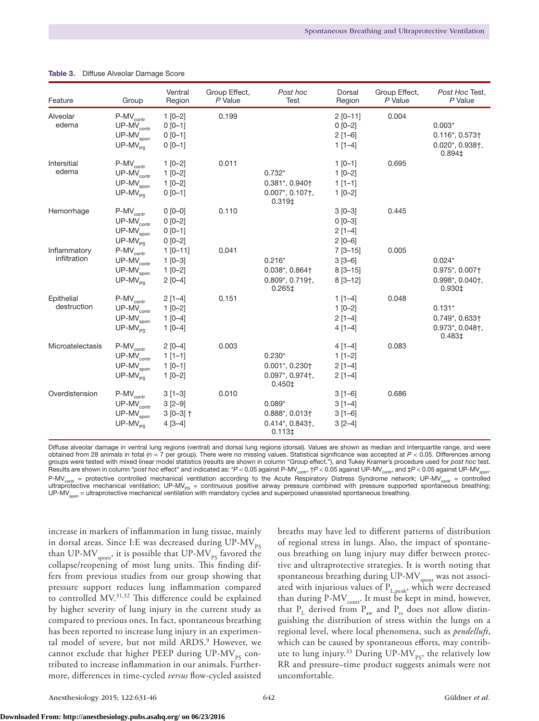| Feature                      | Group                                                                      | Ventral<br>Region                                       | Group Effect,<br>P Value | Post hoc<br><b>Test</b>                                                                                           | Dorsal<br>Region                                      | Group Effect,<br>P Value | Post Hoc Test,<br>P Value                                                                                          |
|------------------------------|----------------------------------------------------------------------------|---------------------------------------------------------|--------------------------|-------------------------------------------------------------------------------------------------------------------|-------------------------------------------------------|--------------------------|--------------------------------------------------------------------------------------------------------------------|
| Alveolar<br>edema            | $P-MV_{contr}$<br>$UP-MV_{contr}$<br>$UP-MV_{\text{spon}}$<br>$UP-MV_{PS}$ | $1 [0-2]$<br>$0 [0 - 1]$<br>$0 [0 - 1]$<br>$0 [0 - 1]$  | 0.199                    |                                                                                                                   | $2 [0 - 11]$<br>$0[0-2]$<br>$2$ [1-6]<br>$1$ [1-4]    | 0.004                    | $0.003*$<br>$0.116$ *, $0.573$ <sup>+</sup><br>$0.020$ *, $0.938$ †,<br>0.894‡                                     |
| Intersitial<br>edema         | $P-MV_{contr}$<br>$UP-MV_{contr}$<br>$UP-MVspon$<br>$UP-MV_{PS}$           | $1 [0-2]$<br>$1 [0-2]$<br>$1 [0-2]$<br>$0 [0 - 1]$      | 0.011                    | $0.732*$<br>$0.381$ *, $0.940$ <sup>+</sup><br>$0.007$ *, $0.107$ <sup>+</sup> ,<br>0.319 <sup>‡</sup>            | $1$ [0-1]<br>$1[0-2]$<br>$1$ [1-1]<br>$1 [0-2]$       | 0.695                    |                                                                                                                    |
| Hemorrhage                   | $P-MV_{contr}$<br>$UP-MV_{contr}$<br>$UP-MV_{\text{spon}}$<br>$UP-MV_{PS}$ | $0 [0 - 0]$<br>$0 [0-2]$<br>$0 [0 - 1]$<br>$0 [0-2]$    | 0.110                    |                                                                                                                   | $3 [0 - 3]$<br>$0 [0 - 3]$<br>$2[1-4]$<br>$2 [0 - 6]$ | 0.445                    |                                                                                                                    |
| Inflammatory<br>infiltration | $P-MV_{contr}$<br>$UP-MV_{contr}$<br>$UP-MVspon$<br>$UP-MV_{PS}$           | $1 [0 - 11]$<br>$1 [0 - 3]$<br>$1 [0-2]$<br>$2 [0-4]$   | 0.041                    | $0.216*$<br>$0.038^*$ , $0.864$ <sup>+</sup><br>$0.809$ <sup>*</sup> , $0.719$ <sup>+</sup> ,<br>$0.265 \ddagger$ | $7 [3 - 15]$<br>$3[3-6]$<br>$8[3 - 15]$<br>$8[3-12]$  | 0.005                    | $0.024*$<br>0.975*, 0.007†<br>0.998*, 0.040†,<br>0.930‡                                                            |
| Epithelial<br>destruction    | $P-MV_{contr}$<br>$UP-MV_{contr}$<br>$UP-MVspon$<br>$UP-MV_{PS}$           | $2[1-4]$<br>$1 [0-2]$<br>$1 [0-4]$<br>$1 [0-4]$         | 0.151                    |                                                                                                                   | $1$ [1-4]<br>$1 [0-2]$<br>$2[1-4]$<br>$4[1-4]$        | 0.048                    | $0.131*$<br>$0.749$ <sup>*</sup> , $0.633$ <sup>+</sup><br>$0.973$ <sup>*</sup> , $0.048$ <sup>+</sup> ,<br>0.483‡ |
| Microatelectasis             | $P-MV_{contr}$<br>$UP-MV_{contr}$<br>$UP-MVspon$<br>$UP-MV_{PS}$           | $2 [0-4]$<br>$1$ [1-1]<br>$1$ [0-1]<br>$1 [0-2]$        | 0.003                    | $0.230*$<br>$0.001$ *, 0.230†<br>$0.097$ *, $0.974$ †,<br>$0.450 \ddagger$                                        | $4[1-4]$<br>$1[1-2]$<br>$2[1-4]$<br>$2[1-4]$          | 0.083                    |                                                                                                                    |
| Overdistension               | $P-MV_{contr}$<br>$UP-MV_{contr}$<br>$UP-MV_{\text{spon}}$<br>$UP-MV_{PS}$ | $3[1-3]$<br>$3 [2 - 9]$<br>$3 [0 - 3]$ †<br>$4 [3 - 4]$ | 0.010                    | $0.089*$<br>$0.888^*$ , $0.013\dagger$<br>$0.414$ *, $0.843$ †,<br>$0.113 \ddagger$                               | $3[1-6]$<br>$3[1-4]$<br>$3[1-6]$<br>$3 [2 - 4]$       | 0.686                    |                                                                                                                    |

#### Table 3. Diffuse Alveolar Damage Score

Diffuse alveolar damage in ventral lung regions (ventral) and dorsal lung regions (dorsal). Values are shown as median and interquartile range, and were obtained from 28 animals in total (n = 7 per group). There were no missing values. Statistical significance was accepted at *P* < 0.05. Differences among groups were tested with mixed linear model statistics (results are shown in column "Group effect."), and Tukey Kramer's procedure used for *post hoc* test. Results are shown in column "*post hoc* effect" and indicated as: \*P < 0.05 against P-MV<sub>contr</sub>, †P < 0.05 against UP-MV<sub>contr</sub>, and ‡P < 0.05 against UP-MV<sub>spon</sub>  $P-MV_{\text{contr}}$  = protective controlled mechanical ventilation according to the Acute Respiratory Distress Syndrome network; UP-MV<sub>contr</sub> = controlled ultraprotective mechanical ventilation; UP-MV<sub>Ps</sub> = continuous positive airway pressure combined with pressure supported spontaneous breathing;<br>UP-MV<sub>spon</sub>=ultraprotective mechanical ventilation with mandatory cycles and s

increase in markers of inflammation in lung tissue, mainly in dorsal areas. Since I:E was decreased during  $UP-MV_{\text{pc}}$ than UP-MV $_{\rm spont}$ , it is possible that UP-MV $_{\rm PS}$  favored the collapse/reopening of most lung units. This finding differs from previous studies from our group showing that pressure support reduces lung inflammation compared to controlled MV.31,32 This difference could be explained by higher severity of lung injury in the current study as compared to previous ones. In fact, spontaneous breathing has been reported to increase lung injury in an experimental model of severe, but not mild ARDS.<sup>9</sup> However, we cannot exclude that higher PEEP during  $UP-MV_{PS}$  contributed to increase inflammation in our animals. Furthermore, differences in time-cycled *versus* flow-cycled assisted

breaths may have led to different patterns of distribution of regional stress in lungs. Also, the impact of spontaneous breathing on lung injury may differ between protective and ultraprotective strategies. It is worth noting that spontaneous breathing during UP-MV<sub>spont</sub> was not associated with injurious values of  $P_{L,peak}$ , which were decreased than during P-MV $_{\rm contr}$ . It must be kept in mind, however, that  $P_L$  derived from  $P_{aw}$  and  $P_{es}$  does not allow distinguishing the distribution of stress within the lungs on a regional level, where local phenomena, such as *pendelluft*, which can be caused by spontaneous efforts, may contribute to lung injury. $33$  During UP-MV<sub>PS</sub>, the relatively low RR and pressure–time product suggests animals were not uncomfortable.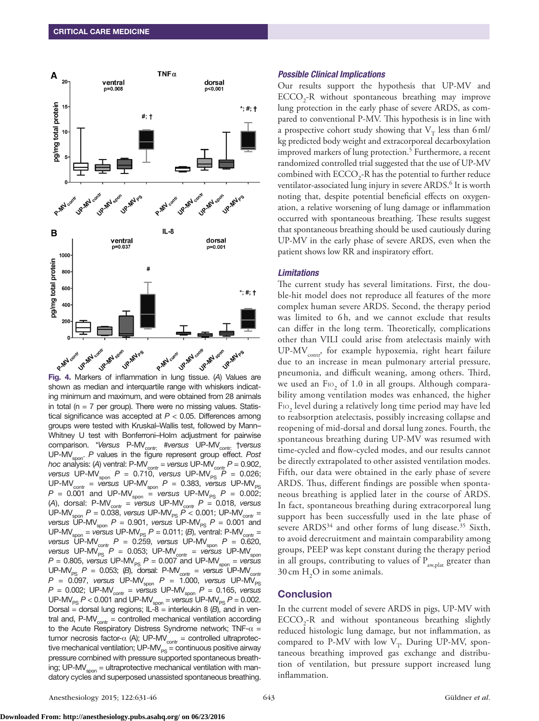

shown as median and interquartile range with whiskers indicating minimum and maximum, and were obtained from 28 animals in total ( $n = 7$  per group). There were no missing values. Statistical significance was accepted at *P* < 0.05. Differences among groups were tested with Kruskal–Wallis test, followed by Mann– Whitney U test with Bonferroni–Holm adjustment for pairwise comparison. \**Versus* P-MV<sub>contr:</sub> #versus UP-MV<sub>contr:</sub> †versus UP-MV<sub>spon</sub>. *P* values in the figure represent group effect. Post *hoc* analysis: (A) ventral: P-MV<sub>contr</sub> = *versus* UP-MV<sub>contr</sub> *P* = 0.902, *versus* UP-MV<sub>spon</sub>  $P = 0.710$ , *versus* UP-MV<sub>PS</sub>  $P = 0.026$ ;  $UP\text{-}MV_{\text{contr}}$  = *versus* UP-MV<sub>spon</sub>  $P$  = 0.383, *versus* UP-MV<sub>PS</sub>  $P = 0.001$  and UP-MV<sub>spon</sub> = *versus* UP-MV<sub>PS</sub>  $P = 0.002$ ; (A), dorsal: P-MV<sub>contr</sub> = *versus* UP-MV<sub>contr</sub>  $P = 0.018$ , *versus* UP-MV<sub>spon</sub> *P* = 0.038, *versus* UP-MV<sub>PS</sub> *P* < 0.001; UP-MV<sub>contr</sub> = *versus* UP-MV<sub>spon</sub>  $P = 0.901$ , *versus* UP-MV<sub>PS</sub>  $P = 0.001$  and  $UP-MV<sub>son</sub> = *versus* UP-MV<sub>PS</sub> P = 0.011; (B), ventral: P-MV<sub>contr</sub> =$ *versus* UP-MV<sub>contr</sub>  $P = 0.259$ , *versus* UP-MV<sub>spon</sub>  $P = 0.620$ , *versus* UP-MV<sub>PS</sub> *P* = 0.053; UP-MV<sub>contr</sub> = *versus* UP-MV<sub>spon</sub>  $P = 0.805$ , *versus* UP-MV<sub>PS</sub>  $P = 0.007$  and UP-MV<sub>spon</sub> = *versus* UP-MV<sub>PS</sub>  $P = 0.053$ ; (B), dorsal: P-MV<sub>contr</sub> = versus UP-MV<sub>contr</sub> *P* = 0.097, *versus* UP-MV<sub>spon</sub> *P* = 1.000, *versus* UP-MV<sub>PS</sub> *P* = 0.002; UP-MVcontr = *versus* UP-MVspon *P* = 0.165, *versus*  $UP\text{-}MV_{PS}$   $P < 0.001$  and  $UP\text{-}MV_{spon}$  = *versus*  $UP\text{-}MV_{PS}$   $P = 0.002$ . Dorsal = dorsal lung regions; IL-8 = interleukin 8  $(B)$ , and in ventral and,  $P-MV_{\text{contr}} =$  controlled mechanical ventilation according to the Acute Respiratory Distress Syndrome network; TNF- $\alpha$  = tumor necrosis factor- $\alpha$  (A); UP-MV<sub>contr</sub> = controlled ultraprotective mechanical ventilation;  $UP-MV_{PS} =$  continuous positive airway pressure combined with pressure supported spontaneous breathing; UP-MV $_{\text{soon}}$  = ultraprotective mechanical ventilation with mandatory cycles and superposed unassisted spontaneous breathing.

#### *Possible Clinical Implications*

Our results support the hypothesis that UP-MV and  $ECCO<sub>2</sub>$ -R without spontaneous breathing may improve lung protection in the early phase of severe ARDS, as compared to conventional P-MV. This hypothesis is in line with a prospective cohort study showing that  $V_T$  less than 6 ml/ kg predicted body weight and extracorporeal decarboxylation improved markers of lung protection.<sup>5</sup> Furthermore, a recent randomized controlled trial suggested that the use of UP-MV combined with  $\text{ECCO}_2$ -R has the potential to further reduce ventilator-associated lung injury in severe ARDS.<sup>6</sup> It is worth noting that, despite potential beneficial effects on oxygenation, a relative worsening of lung damage or inflammation occurred with spontaneous breathing. These results suggest that spontaneous breathing should be used cautiously during UP-MV in the early phase of severe ARDS, even when the patient shows low RR and inspiratory effort.

#### *Limitations*

The current study has several limitations. First, the double-hit model does not reproduce all features of the more complex human severe ARDS. Second, the therapy period was limited to 6h, and we cannot exclude that results can differ in the long term. Theoretically, complications other than VILI could arise from atelectasis mainly with  $UP-MV_{\text{contr}}$ , for example hypoxemia, right heart failure due to an increase in mean pulmonary arterial pressure, pneumonia, and difficult weaning, among others. Third, we used an  $\text{Fro}_2$  of 1.0 in all groups. Although comparability among ventilation modes was enhanced, the higher  $\text{Fro}_2$  level during a relatively long time period may have led to reabsorption atelectasis, possibly increasing collapse and reopening of mid-dorsal and dorsal lung zones. Fourth, the spontaneous breathing during UP-MV was resumed with time-cycled and flow-cycled modes, and our results cannot be directly extrapolated to other assisted ventilation modes. Fifth, our data were obtained in the early phase of severe ARDS. Thus, different findings are possible when spontaneous breathing is applied later in the course of ARDS. In fact, spontaneous breathing during extracorporeal lung support has been successfully used in the late phase of severe ARDS<sup>34</sup> and other forms of lung disease.<sup>35</sup> Sixth, to avoid derecruitment and maintain comparability among groups, PEEP was kept constant during the therapy period in all groups, contributing to values of  $P_{\text{aw,plat}}$  greater than 30 cm  $H_2O$  in some animals.

#### **Conclusion**

In the current model of severe ARDS in pigs, UP-MV with  $ECCO<sub>2</sub>$ -R and without spontaneous breathing slightly reduced histologic lung damage, but not inflammation, as compared to P-MV with low  $V_T$ . During UP-MV, spontaneous breathing improved gas exchange and distribution of ventilation, but pressure support increased lung inflammation.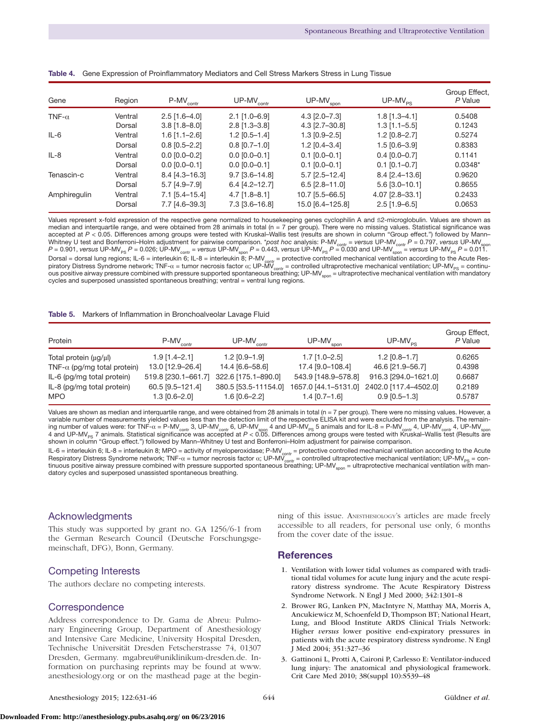| Gene          | Region  | $P-MV_{contr}$  | $UP-MV_{\text{contr}}$ | $UP-MV_{\rm spon}$    | $UP-MV_{PS}$    | Group Effect,<br>P Value |
|---------------|---------|-----------------|------------------------|-----------------------|-----------------|--------------------------|
| TNF- $\alpha$ | Ventral | $2.5$ [1.6-4.0] | $2.1$ [1.0-6.9]        | $4.3$ [ $2.0 - 7.3$ ] | $1.8$ [1.3-4.1] | 0.5408                   |
|               | Dorsal  | $3.8$ [1.8-8.0] | $2.8$ [1.3-3.8]        | 4.3 [2.7-30.8]        | $1.3$ [1.1-5.5] | 0.1243                   |
| $IL-6$        | Ventral | $1.6$ [1.1-2.6] | $1.2$ [0.5-1.4]        | $1.3$ [0.9-2.5]       | $1.2$ [0.8-2.7] | 0.5274                   |
|               | Dorsal  | $0.8$ [0.5-2.2] | $0.8$ [0.7-1.0]        | $1.2$ [0.4-3.4]       | $1.5$ [0.6-3.9] | 0.8383                   |
| $IL-8$        | Ventral | $0.0$ [0.0-0.2] | $0.0$ [0.0-0.1]        | $0.1$ [0.0-0.1]       | $0.4$ [0.0-0.7] | 0.1141                   |
|               | Dorsal  | $0.0$ [0.0-0.1] | $0.0$ [0.0-0.1]        | $0.1$ [0.0-0.1]       | $0.1$ [0.1-0.7] | $0.0348*$                |
| Tenascin-c    | Ventral | 8.4 [4.3-16.3]  | $9.7$ [3.6-14.8]       | $5.7$ [2.5-12.4]      | 8.4 [2.4-13.6]  | 0.9620                   |
|               | Dorsal  | $5.7$ [4.9-7.9] | $6.4$ [4.2-12.7]       | $6.5$ [2.8-11.0]      | 5.6 [3.0-10.1]  | 0.8655                   |
| Amphiregulin  | Ventral | 7.1 [5.4-15.4]  | $4.7$ [1.8-8.1]        | 10.7 [5.5-66.5]       | 4.07 [2.8-33.1] | 0.2433                   |
|               | Dorsal  | 7.7 [4.6-39.3]  | 7.3 [3.6-16.8]         | 15.0 [6.4-125.8]      | $2.5$ [1.9-6.5] | 0.0653                   |

|  | Table 4. Gene Expression of Proinflammatory Mediators and Cell Stress Markers Stress in Lung Tissue |  |
|--|-----------------------------------------------------------------------------------------------------|--|
|  |                                                                                                     |  |

Values represent x-fold expression of the respective gene normalized to housekeeping genes cyclophilin A and ß2-microglobulin. Values are shown as median and interquartile range, and were obtained from 28 animals in total (n = 7 per group). There were no missing values. Statistical significance was accepted at *P* < 0.05. Differences among groups were tested with Kruskal–Wallis test (results are shown in column "Group effect.") followed by Mann– Whitney U test and Bonferroni–Holm adjustment for pairwise comparison. *\*post hoc* analysis: P-MV<sub>contr</sub> = *versus* UP-MV<sub>contr</sub> P = 0.797, *versus* UP-MV<sub>spon</sub>  $P$  = 0.901, *versus* UP-MV<sub>PS</sub>  $P$  = 0.026; UP-MV<sub>contr</sub> = *versus* UP-MV<sub>spon</sub>  $P$  = 0.443, *versus* UP-MV<sub>PS</sub>  $P$  = 0.030 and UP-MV<sub>spon</sub> = *versus* UP-MV<sub>PS</sub>  $P$  = 0.011. Dorsal = dorsal lung regions; IL-6 = interleukin 6; IL-8 = interleukin 8; P-MV<sub>contr</sub> = protective controlled mechanical ventilation according to the Acute Respiratory Distress Syndrome network; TNF-α = tumor necrosis factor α; UP-MV $_{\rm{corr}}$  = controlled ultraprotective mechanical ventilation; UP-MV<sub>PS</sub> = continuous positive airway pressure combined with pressure supported spontaneous breathing; UP-MV<sub>soon</sub> = ultraprotective mechanical ventilation with mandatory cycles and superposed unassisted spontaneous breathing; ventral = ventral lung regions.

#### Table 5. Markers of Inflammation in Bronchoalveolar Lavage Fluid

| Protein                                  | $P-MV_{contr}$                      | $UP-MV_{contr}$                         | $UP-MV_{\text{spon}}$                   | $UP-MV_{\text{pc}}$                      | Group Effect,<br>P Value |
|------------------------------------------|-------------------------------------|-----------------------------------------|-----------------------------------------|------------------------------------------|--------------------------|
| Total protein (ug/ul)                    | $1.9$ [1.4-2.1]                     | $1.2$ [0.9-1.9]                         | $1.7$ [1.0-2.5]                         | $1.2$ [0.8-1.7]                          | 0.6265                   |
| TNF- $\alpha$ (pg/mg total protein)      | 13.0 [12.9-26.4]                    | 14.4 [6.6-58.6]                         | 17.4 [9.0-108.4]                        | 46.6 [21.9-56.7]                         | 0.4398                   |
| IL-6 (pg/mg total protein)               | 519.8 [230.1-661.7]                 | 322.6 [175.1-890.0]                     | 543.9 [148.9-578.8]                     | 916.3 [294.0-1621.0]                     | 0.6687                   |
| IL-8 (pg/mg total protein)<br><b>MPO</b> | 60.5 [9.5-121.4]<br>$1.3$ [0.6-2.0] | 380.5 [53.5-11154.0]<br>$1.6$ [0.6-2.2] | 1657.0 [44.1–5131.0]<br>$1.4$ [0.7-1.6] | 2402.0 [117.4-4502.0]<br>$0.9$ [0.5-1.3] | 0.2189<br>0.5787         |

Values are shown as median and interquartile range, and were obtained from 28 animals in total (n = 7 per group). There were no missing values. However, a variable number of measurements yielded values less than the detection limit of the respective ELISA kit and were excluded from the analysis. The remaining number of values were: for TNF-α = P-MV<sub>contr</sub> 3, UP-MV<sub>sontr</sub> 6, UP-MV<sub>spon</sub> 4 and UP-MV<sub>pS</sub> 5 animals and for IL-8 = P-MV<sub>contr</sub> 4, UP-MV<sub>sontr</sub> 4, UP-MV<sub>spon</sub><br>4 and UP-MV<sub>ps</sub> 7 animals. Statistical significance was shown in column "Group effect.") followed by Mann–Whitney U test and Bonferroni–Holm adjustment for pairwise comparison.

IL-6 = interleukin 6; IL-8 = interleukin 8; MPO = activity of myeloperoxidase; P-MV<sub>contr</sub> = protective controlled mechanical ventilation according to the Acute Respiratory Distress Syndrome network; TNF-α = tumor necrosis factor α; UP-MV<sub>contr</sub> = controlled ultraprotective mechanical ventilation; UP-MV<sub>PS</sub> = continuous positive airway pressure combined with pressure supported spontaneous breathing; UP-MV<sub>spon</sub> = ultraprotective mechanical ventilation with mandatory cycles and superposed unassisted spontaneous breathing.

# Acknowledgments

This study was supported by grant no. GA 1256/6-1 from the German Research Council (Deutsche Forschungsgemeinschaft, DFG), Bonn, Germany.

#### Competing Interests

The authors declare no competing interests.

#### **Correspondence**

Address correspondence to Dr. Gama de Abreu: Pulmonary Engineering Group, Department of Anesthesiology and Intensive Care Medicine, University Hospital Dresden, Technische Universität Dresden Fetscherstrasse 74, 01307 Dresden, Germany. mgabreu@uniklinikum-dresden.de. Information on purchasing reprints may be found at www. anesthesiology.org or on the masthead page at the begin-

ning of this issue. Anesthesiology's articles are made freely accessible to all readers, for personal use only, 6 months from the cover date of the issue.

#### References

- 1. Ventilation with lower tidal volumes as compared with traditional tidal volumes for acute lung injury and the acute respiratory distress syndrome. The Acute Respiratory Distress Syndrome Network. N Engl J Med 2000; 342:1301–8
- 2. Brower RG, Lanken PN, MacIntyre N, Matthay MA, Morris A, Ancukiewicz M, Schoenfeld D, Thompson BT; National Heart, Lung, and Blood Institute ARDS Clinical Trials Network: Higher *versus* lower positive end-expiratory pressures in patients with the acute respiratory distress syndrome. N Engl J Med 2004; 351:327–36
- 3. Gattinoni L, Protti A, Caironi P, Carlesso E: Ventilator-induced lung injury: The anatomical and physiological framework. Crit Care Med 2010; 38(suppl 10):S539–48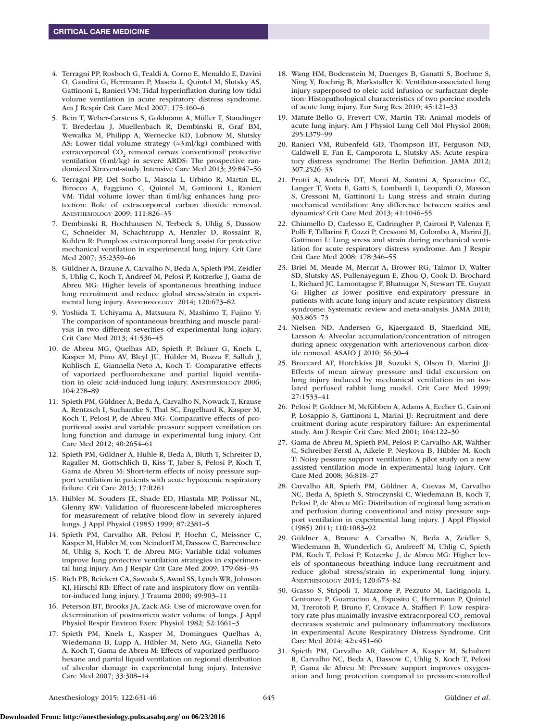- 4. Terragni PP, Rosboch G, Tealdi A, Corno E, Menaldo E, Davini O, Gandini G, Herrmann P, Mascia L, Quintel M, Slutsky AS, Gattinoni L, Ranieri VM: Tidal hyperinflation during low tidal volume ventilation in acute respiratory distress syndrome. Am J Respir Crit Care Med 2007; 175:160–6
- 5. Bein T, Weber-Carstens S, Goldmann A, Müller T, Staudinger T, Brederlau J, Muellenbach R, Dembinski R, Graf BM, Wewalka M, Philipp A, Wernecke KD, Lubnow M, Slutsky AS: Lower tidal volume strategy (≈3ml/kg) combined with extracorporeal CO<sub>2</sub> removal *versus* 'conventional' protective ventilation (6ml/kg) in severe ARDS: The prospective randomized Xtravent-study. Intensive Care Med 2013; 39:847–56
- 6. Terragni PP, Del Sorbo L, Mascia L, Urbino R, Martin EL, Birocco A, Faggiano C, Quintel M, Gattinoni L, Ranieri VM: Tidal volume lower than 6ml/kg enhances lung protection: Role of extracorporeal carbon dioxide removal. Anesthesiology 2009; 111:826–35
- 7. Dembinski R, Hochhausen N, Terbeck S, Uhlig S, Dassow C, Schneider M, Schachtrupp A, Henzler D, Rossaint R, Kuhlen R: Pumpless extracorporeal lung assist for protective mechanical ventilation in experimental lung injury. Crit Care Med 2007; 35:2359–66
- 8. Güldner A, Braune A, Carvalho N, Beda A, Spieth PM, Zeidler S, Uhlig C, Koch T, Andreef M, Pelosi P, Kotzerke J, Gama de Abreu MG: Higher levels of spontaneous breathing induce lung recruitment and reduce global stress/strain in experimental lung injury. ANESTHESIOLOGY 2014; 120:673-82.
- 9. Yoshida T, Uchiyama A, Matsuura N, Mashimo T, Fujino Y: The comparison of spontaneous breathing and muscle paralysis in two different severities of experimental lung injury. Crit Care Med 2013; 41:536–45
- 10. de Abreu MG, Quelhas AD, Spieth P, Bräuer G, Knels L, Kasper M, Pino AV, Bleyl JU, Hübler M, Bozza F, Salluh J, Kuhlisch E, Giannella-Neto A, Koch T: Comparative effects of vaporized perfluorohexane and partial liquid ventilation in oleic acid-induced lung injury. Anesthesiology 2006; 104:278–89
- 11. Spieth PM, Güldner A, Beda A, Carvalho N, Nowack T, Krause A, Rentzsch I, Suchantke S, Thal SC, Engelhard K, Kasper M, Koch T, Pelosi P, de Abreu MG: Comparative effects of proportional assist and variable pressure support ventilation on lung function and damage in experimental lung injury. Crit Care Med 2012; 40:2654–61
- 12. Spieth PM, Güldner A, Huhle R, Beda A, Bluth T, Schreiter D, Ragaller M, Gottschlich B, Kiss T, Jaber S, Pelosi P, Koch T, Gama de Abreu M: Short-term effects of noisy pressure support ventilation in patients with acute hypoxemic respiratory failure. Crit Care 2013; 17:R261
- 13. Hübler M, Souders JE, Shade ED, Hlastala MP, Polissar NL, Glenny RW: Validation of fluorescent-labeled microspheres for measurement of relative blood flow in severely injured lungs. J Appl Physiol (1985) 1999; 87:2381–5
- 14. Spieth PM, Carvalho AR, Pelosi P, Hoehn C, Meissner C, Kasper M, Hübler M, von Neindorff M, Dassow C, Barrenschee M, Uhlig S, Koch T, de Abreu MG: Variable tidal volumes improve lung protective ventilation strategies in experimental lung injury. Am J Respir Crit Care Med 2009; 179:684–93
- 15. Rich PB, Reickert CA, Sawada S, Awad SS, Lynch WR, Johnson KJ, Hirschl RB: Effect of rate and inspiratory flow on ventilator-induced lung injury. J Trauma 2000; 49:903–11
- 16. Peterson BT, Brooks JA, Zack AG: Use of microwave oven for determination of postmortem water volume of lungs. J Appl Physiol Respir Environ Exerc Physiol 1982; 52:1661–3
- 17. Spieth PM, Knels L, Kasper M, Domingues Quelhas A, Wiedemann B, Lupp A, Hübler M, Neto AG, Gianella Neto A, Koch T, Gama de Abreu M: Effects of vaporized perfluorohexane and partial liquid ventilation on regional distribution of alveolar damage in experimental lung injury. Intensive Care Med 2007; 33:308–14
- 18. Wang HM, Bodenstein M, Duenges B, Ganatti S, Boehme S, Ning Y, Roehrig B, Markstaller K: Ventilator-associated lung injury superposed to oleic acid infusion or surfactant depletion: Histopathological characteristics of two porcine models of acute lung injury. Eur Surg Res 2010; 45:121–33
- 19. Matute-Bello G, Frevert CW, Martin TR: Animal models of acute lung injury. Am J Physiol Lung Cell Mol Physiol 2008; 295:L379–99
- 20. Ranieri VM, Rubenfeld GD, Thompson BT, Ferguson ND, Caldwell E, Fan E, Camporota L, Slutsky AS: Acute respiratory distress syndrome: The Berlin Definition. JAMA 2012; 307:2526–33
- 21. Protti A, Andreis DT, Monti M, Santini A, Sparacino CC, Langer T, Votta E, Gatti S, Lombardi L, Leopardi O, Masson S, Cressoni M, Gattinoni L: Lung stress and strain during mechanical ventilation: Any difference between statics and dynamics? Crit Care Med 2013; 41:1046–55
- 22. Chiumello D, Carlesso E, Cadringher P, Caironi P, Valenza F, Polli F, Tallarini F, Cozzi P, Cressoni M, Colombo A, Marini JJ, Gattinoni L: Lung stress and strain during mechanical ventilation for acute respiratory distress syndrome. Am J Respir Crit Care Med 2008; 178:346–55
- 23. Briel M, Meade M, Mercat A, Brower RG, Talmor D, Walter SD, Slutsky AS, Pullenayegum E, Zhou Q, Cook D, Brochard L, Richard JC, Lamontagne F, Bhatnagar N, Stewart TE, Guyatt G: Higher *vs* lower positive end-expiratory pressure in patients with acute lung injury and acute respiratory distress syndrome: Systematic review and meta-analysis. JAMA 2010; 303:865–73
- 24. Nielsen ND, Andersen G, Kjaergaard B, Staerkind ME, Larsson A: Alveolar accumulation/concentration of nitrogen during apneic oxygenation with arteriovenous carbon dioxide removal. ASAIO J 2010; 56:30–4
- 25. Broccard AF, Hotchkiss JR, Suzuki S, Olson D, Marini JJ: Effects of mean airway pressure and tidal excursion on lung injury induced by mechanical ventilation in an isolated perfused rabbit lung model. Crit Care Med 1999; 27:1533–41
- 26. Pelosi P, Goldner M, McKibben A, Adams A, Eccher G, Caironi P, Losappio S, Gattinoni L, Marini JJ: Recruitment and derecruitment during acute respiratory failure: An experimental study. Am J Respir Crit Care Med 2001; 164:122–30
- 27. Gama de Abreu M, Spieth PM, Pelosi P, Carvalho AR, Walther C, Schreiber-Ferstl A, Aikele P, Neykova B, Hübler M, Koch T: Noisy pessure support ventilation: A pilot study on a new assisted ventilation mode in experimental lung injury. Crit Care Med 2008; 36:818–27
- 28. Carvalho AR, Spieth PM, Güldner A, Cuevas M, Carvalho NC, Beda A, Spieth S, Stroczynski C, Wiedemann B, Koch T, Pelosi P, de Abreu MG: Distribution of regional lung aeration and perfusion during conventional and noisy pressure support ventilation in experimental lung injury. J Appl Physiol (1985) 2011; 110:1083–92
- 29. Güldner A, Braune A, Carvalho N, Beda A, Zeidler S, Wiedemann B, Wunderlich G, Andreeff M, Uhlig C, Spieth PM, Koch T, Pelosi P, Kotzerke J, de Abreu MG: Higher levels of spontaneous breathing induce lung recruitment and reduce global stress/strain in experimental lung injury. Anesthesiology 2014; 120:673–82
- 30. Grasso S, Stripoli T, Mazzone P, Pezzuto M, Lacitignola L, Centonze P, Guarracino A, Esposito C, Herrmann P, Quintel M, Trerotoli P, Bruno F, Crovace A, Staffieri F: Low respiratory rate plus minimally invasive extracorporeal  $CO<sub>2</sub>$  removal decreases systemic and pulmonary inflammatory mediators in experimental Acute Respiratory Distress Syndrome. Crit Care Med 2014; 42:e451–60
- 31. Spieth PM, Carvalho AR, Güldner A, Kasper M, Schubert R, Carvalho NC, Beda A, Dassow C, Uhlig S, Koch T, Pelosi P, Gama de Abreu M: Pressure support improves oxygenation and lung protection compared to pressure-controlled